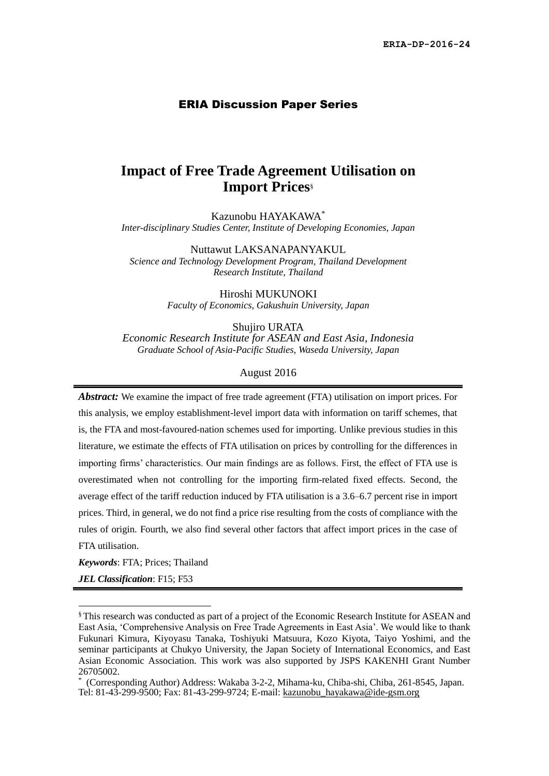#### ERIA Discussion Paper Series

# **Impact of Free Trade Agreement Utilisation on Import Prices**§

Kazunobu HAYAKAWA\* *Inter-disciplinary Studies Center, Institute of Developing Economies, Japan* 

Nuttawut LAKSANAPANYAKUL *Science and Technology Development Program, Thailand Development Research Institute, Thailand*

Hiroshi MUKUNOKI

*Faculty of Economics, Gakushuin University, Japan*

Shujiro URATA

*Economic Research Institute for ASEAN and East Asia, Indonesia Graduate School of Asia-Pacific Studies, Waseda University, Japan*

#### August 2016

*Abstract:* We examine the impact of free trade agreement (FTA) utilisation on import prices. For this analysis, we employ establishment-level import data with information on tariff schemes, that is, the FTA and most-favoured-nation schemes used for importing. Unlike previous studies in this literature, we estimate the effects of FTA utilisation on prices by controlling for the differences in importing firms' characteristics. Our main findings are as follows. First, the effect of FTA use is overestimated when not controlling for the importing firm-related fixed effects. Second, the average effect of the tariff reduction induced by FTA utilisation is a 3.6–6.7 percent rise in import prices. Third, in general, we do not find a price rise resulting from the costs of compliance with the rules of origin. Fourth, we also find several other factors that affect import prices in the case of FTA utilisation.

*Keywords*: FTA; Prices; Thailand

*JEL Classification*: F15; F53

 $\overline{\phantom{a}}$ 

<sup>§</sup> This research was conducted as part of a project of the Economic Research Institute for ASEAN and East Asia, 'Comprehensive Analysis on Free Trade Agreements in East Asia'. We would like to thank Fukunari Kimura, Kiyoyasu Tanaka, Toshiyuki Matsuura, Kozo Kiyota, Taiyo Yoshimi, and the seminar participants at Chukyo University, the Japan Society of International Economics, and East Asian Economic Association. This work was also supported by JSPS KAKENHI Grant Number 26705002.

<sup>\*</sup> (Corresponding Author) Address: Wakaba 3-2-2, Mihama-ku, Chiba-shi, Chiba, 261-8545, Japan. Tel: 81-43-299-9500; Fax: 81-43-299-9724; E-mail: [kazunobu\\_hayakawa@ide-gsm.org](mailto:kazunobu_hayakawa@ide-gsm.org)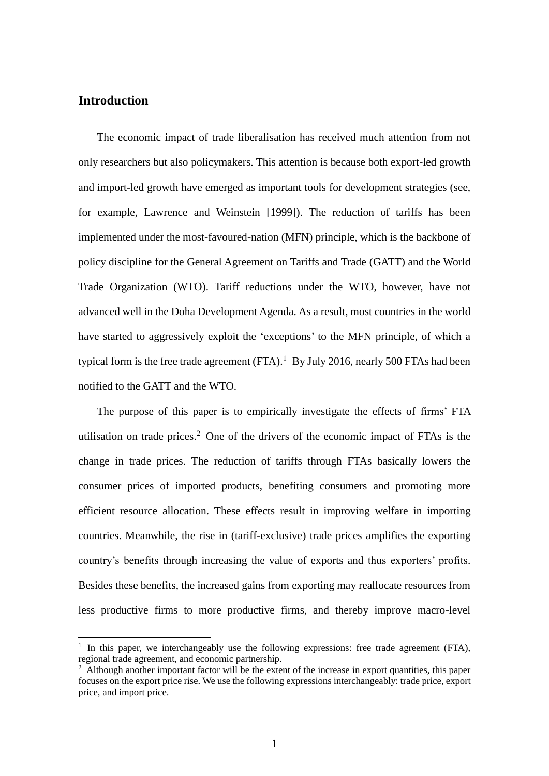## **Introduction**

 $\overline{a}$ 

The economic impact of trade liberalisation has received much attention from not only researchers but also policymakers. This attention is because both export-led growth and import-led growth have emerged as important tools for development strategies (see, for example, Lawrence and Weinstein [1999]). The reduction of tariffs has been implemented under the most-favoured-nation (MFN) principle, which is the backbone of policy discipline for the General Agreement on Tariffs and Trade (GATT) and the World Trade Organization (WTO). Tariff reductions under the WTO, however, have not advanced well in the Doha Development Agenda. As a result, most countries in the world have started to aggressively exploit the 'exceptions' to the MFN principle, of which a typical form is the free trade agreement  $(FTA)$ .<sup>1</sup> By July 2016, nearly 500 FTAs had been notified to the GATT and the WTO.

The purpose of this paper is to empirically investigate the effects of firms' FTA utilisation on trade prices. <sup>2</sup> One of the drivers of the economic impact of FTAs is the change in trade prices. The reduction of tariffs through FTAs basically lowers the consumer prices of imported products, benefiting consumers and promoting more efficient resource allocation. These effects result in improving welfare in importing countries. Meanwhile, the rise in (tariff-exclusive) trade prices amplifies the exporting country's benefits through increasing the value of exports and thus exporters' profits. Besides these benefits, the increased gains from exporting may reallocate resources from less productive firms to more productive firms, and thereby improve macro-level

<sup>&</sup>lt;sup>1</sup> In this paper, we interchangeably use the following expressions: free trade agreement (FTA), regional trade agreement, and economic partnership.

 $2\overline{)}$  Although another important factor will be the extent of the increase in export quantities, this paper focuses on the export price rise. We use the following expressions interchangeably: trade price, export price, and import price.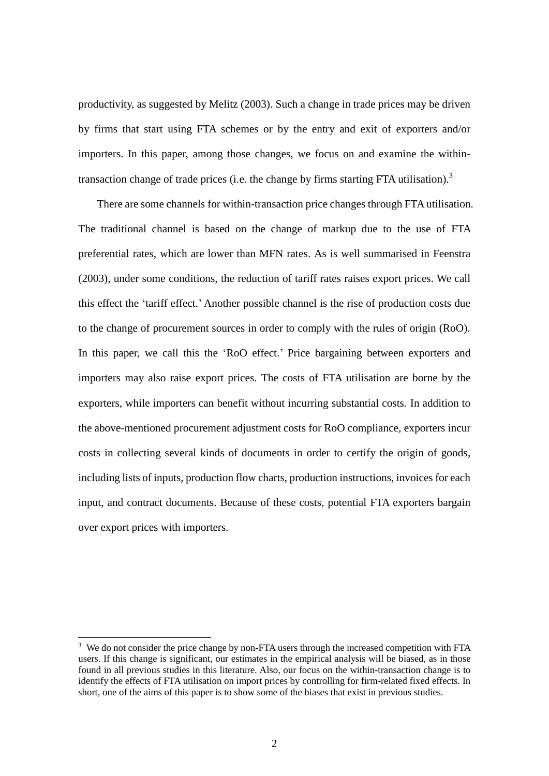productivity, as suggested by Melitz (2003). Such a change in trade prices may be driven by firms that start using FTA schemes or by the entry and exit of exporters and/or importers. In this paper, among those changes, we focus on and examine the withintransaction change of trade prices (i.e. the change by firms starting FTA utilisation).<sup>3</sup>

There are some channels for within-transaction price changes through FTA utilisation. The traditional channel is based on the change of markup due to the use of FTA preferential rates, which are lower than MFN rates. As is well summarised in Feenstra (2003), under some conditions, the reduction of tariff rates raises export prices. We call this effect the 'tariff effect.' Another possible channel is the rise of production costs due to the change of procurement sources in order to comply with the rules of origin (RoO). In this paper, we call this the 'RoO effect.' Price bargaining between exporters and importers may also raise export prices. The costs of FTA utilisation are borne by the exporters, while importers can benefit without incurring substantial costs. In addition to the above-mentioned procurement adjustment costs for RoO compliance, exporters incur costs in collecting several kinds of documents in order to certify the origin of goods, including lists of inputs, production flow charts, production instructions, invoices for each input, and contract documents. Because of these costs, potential FTA exporters bargain over export prices with importers.

 $\overline{a}$ 

<sup>&</sup>lt;sup>3</sup> We do not consider the price change by non-FTA users through the increased competition with FTA users. If this change is significant, our estimates in the empirical analysis will be biased, as in those found in all previous studies in this literature. Also, our focus on the within-transaction change is to identify the effects of FTA utilisation on import prices by controlling for firm-related fixed effects. In short, one of the aims of this paper is to show some of the biases that exist in previous studies.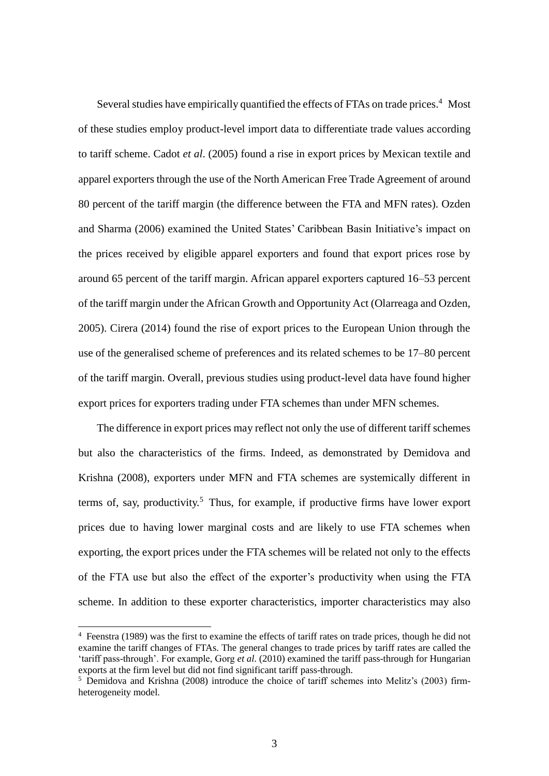Several studies have empirically quantified the effects of FTAs on trade prices.<sup>4</sup> Most of these studies employ product-level import data to differentiate trade values according to tariff scheme. Cadot *et al*. (2005) found a rise in export prices by Mexican textile and apparel exporters through the use of the North American Free Trade Agreement of around 80 percent of the tariff margin (the difference between the FTA and MFN rates). Ozden and Sharma (2006) examined the United States' Caribbean Basin Initiative's impact on the prices received by eligible apparel exporters and found that export prices rose by around 65 percent of the tariff margin. African apparel exporters captured 16–53 percent of the tariff margin under the African Growth and Opportunity Act (Olarreaga and Ozden, 2005). Cirera (2014) found the rise of export prices to the European Union through the use of the generalised scheme of preferences and its related schemes to be 17–80 percent of the tariff margin. Overall, previous studies using product-level data have found higher export prices for exporters trading under FTA schemes than under MFN schemes.

The difference in export prices may reflect not only the use of different tariff schemes but also the characteristics of the firms. Indeed, as demonstrated by Demidova and Krishna (2008), exporters under MFN and FTA schemes are systemically different in terms of, say, productivity.<sup>5</sup> Thus, for example, if productive firms have lower export prices due to having lower marginal costs and are likely to use FTA schemes when exporting, the export prices under the FTA schemes will be related not only to the effects of the FTA use but also the effect of the exporter's productivity when using the FTA scheme. In addition to these exporter characteristics, importer characteristics may also

 $\overline{a}$ 

<sup>4</sup> Feenstra (1989) was the first to examine the effects of tariff rates on trade prices, though he did not examine the tariff changes of FTAs. The general changes to trade prices by tariff rates are called the 'tariff pass-through'. For example, Gorg *et al*. (2010) examined the tariff pass-through for Hungarian exports at the firm level but did not find significant tariff pass-through.

 $5$  Demidova and Krishna (2008) introduce the choice of tariff schemes into Melitz's (2003) firmheterogeneity model.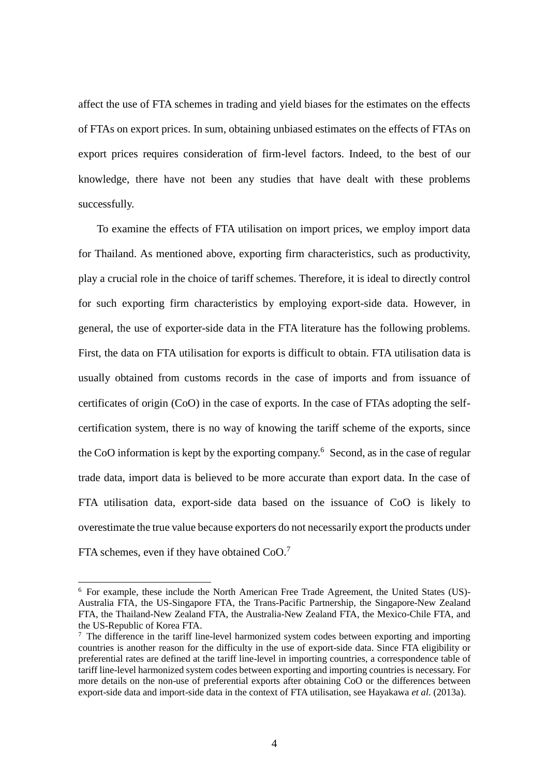affect the use of FTA schemes in trading and yield biases for the estimates on the effects of FTAs on export prices. In sum, obtaining unbiased estimates on the effects of FTAs on export prices requires consideration of firm-level factors. Indeed, to the best of our knowledge, there have not been any studies that have dealt with these problems successfully.

To examine the effects of FTA utilisation on import prices, we employ import data for Thailand. As mentioned above, exporting firm characteristics, such as productivity, play a crucial role in the choice of tariff schemes. Therefore, it is ideal to directly control for such exporting firm characteristics by employing export-side data. However, in general, the use of exporter-side data in the FTA literature has the following problems. First, the data on FTA utilisation for exports is difficult to obtain. FTA utilisation data is usually obtained from customs records in the case of imports and from issuance of certificates of origin (CoO) in the case of exports. In the case of FTAs adopting the selfcertification system, there is no way of knowing the tariff scheme of the exports, since the CoO information is kept by the exporting company.<sup>6</sup> Second, as in the case of regular trade data, import data is believed to be more accurate than export data. In the case of FTA utilisation data, export-side data based on the issuance of CoO is likely to overestimate the true value because exporters do not necessarily export the products under FTA schemes, even if they have obtained CoO.<sup>7</sup>

 $6$  For example, these include the North American Free Trade Agreement, the United States (US)-Australia FTA, the US-Singapore FTA, the Trans-Pacific Partnership, the Singapore-New Zealand FTA, the Thailand-New Zealand FTA, the Australia-New Zealand FTA, the Mexico-Chile FTA, and the US-Republic of Korea FTA.

 $<sup>7</sup>$  The difference in the tariff line-level harmonized system codes between exporting and importing</sup> countries is another reason for the difficulty in the use of export-side data. Since FTA eligibility or preferential rates are defined at the tariff line-level in importing countries, a correspondence table of tariff line-level harmonized system codes between exporting and importing countries is necessary. For more details on the non-use of preferential exports after obtaining CoO or the differences between export-side data and import-side data in the context of FTA utilisation, see Hayakawa *et al*. (2013a).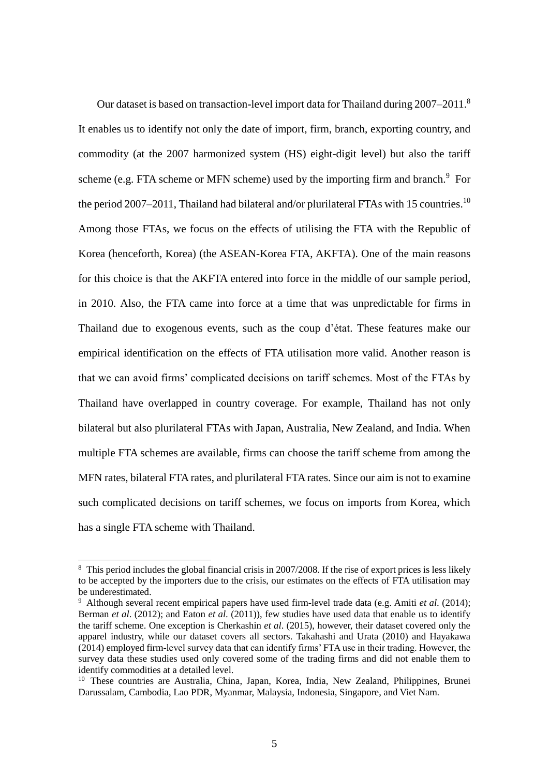Our dataset is based on transaction-level import data for Thailand during 2007–2011.<sup>8</sup> It enables us to identify not only the date of import, firm, branch, exporting country, and commodity (at the 2007 harmonized system (HS) eight-digit level) but also the tariff scheme (e.g. FTA scheme or MFN scheme) used by the importing firm and branch.<sup>9</sup> For the period 2007–2011, Thailand had bilateral and/or plurilateral FTAs with 15 countries.<sup>10</sup> Among those FTAs, we focus on the effects of utilising the FTA with the Republic of Korea (henceforth, Korea) (the ASEAN-Korea FTA, AKFTA). One of the main reasons for this choice is that the AKFTA entered into force in the middle of our sample period, in 2010. Also, the FTA came into force at a time that was unpredictable for firms in Thailand due to exogenous events, such as the coup d'état. These features make our empirical identification on the effects of FTA utilisation more valid. Another reason is that we can avoid firms' complicated decisions on tariff schemes. Most of the FTAs by Thailand have overlapped in country coverage. For example, Thailand has not only bilateral but also plurilateral FTAs with Japan, Australia, New Zealand, and India. When multiple FTA schemes are available, firms can choose the tariff scheme from among the MFN rates, bilateral FTA rates, and plurilateral FTA rates. Since our aim is not to examine such complicated decisions on tariff schemes, we focus on imports from Korea, which has a single FTA scheme with Thailand.

 $\overline{a}$ 

<sup>&</sup>lt;sup>8</sup> This period includes the global financial crisis in 2007/2008. If the rise of export prices is less likely to be accepted by the importers due to the crisis, our estimates on the effects of FTA utilisation may be underestimated.

<sup>9</sup> Although several recent empirical papers have used firm-level trade data (e.g. Amiti *et al*. (2014); Berman *et al*. (2012); and Eaton *et al*. (2011)), few studies have used data that enable us to identify the tariff scheme. One exception is Cherkashin *et al*. (2015), however, their dataset covered only the apparel industry, while our dataset covers all sectors. Takahashi and Urata (2010) and Hayakawa (2014) employed firm-level survey data that can identify firms' FTA use in their trading. However, the survey data these studies used only covered some of the trading firms and did not enable them to identify commodities at a detailed level.

<sup>&</sup>lt;sup>10</sup> These countries are Australia, China, Japan, Korea, India, New Zealand, Philippines, Brunei Darussalam, Cambodia, Lao PDR, Myanmar, Malaysia, Indonesia, Singapore, and Viet Nam.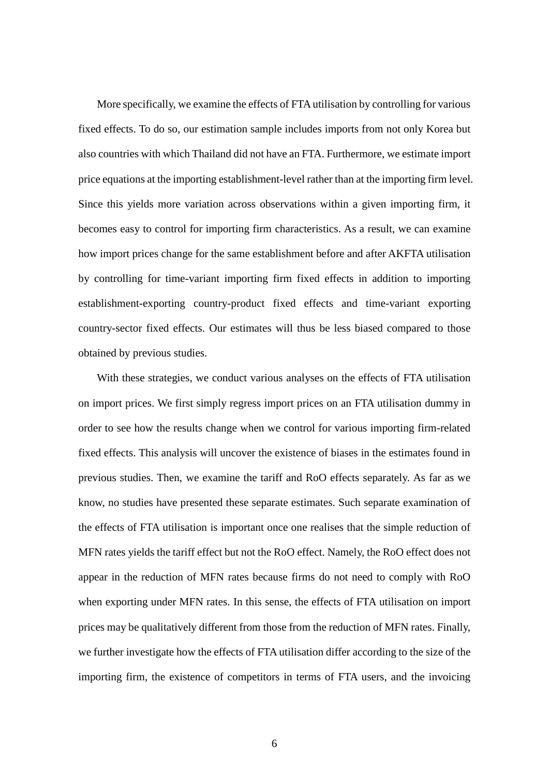More specifically, we examine the effects of FTA utilisation by controlling for various fixed effects. To do so, our estimation sample includes imports from not only Korea but also countries with which Thailand did not have an FTA. Furthermore, we estimate import price equations at the importing establishment-level rather than at the importing firm level. Since this yields more variation across observations within a given importing firm, it becomes easy to control for importing firm characteristics. As a result, we can examine how import prices change for the same establishment before and after AKFTA utilisation by controlling for time-variant importing firm fixed effects in addition to importing establishment-exporting country-product fixed effects and time-variant exporting country-sector fixed effects. Our estimates will thus be less biased compared to those obtained by previous studies.

With these strategies, we conduct various analyses on the effects of FTA utilisation on import prices. We first simply regress import prices on an FTA utilisation dummy in order to see how the results change when we control for various importing firm-related fixed effects. This analysis will uncover the existence of biases in the estimates found in previous studies. Then, we examine the tariff and RoO effects separately. As far as we know, no studies have presented these separate estimates. Such separate examination of the effects of FTA utilisation is important once one realises that the simple reduction of MFN rates yields the tariff effect but not the RoO effect. Namely, the RoO effect does not appear in the reduction of MFN rates because firms do not need to comply with RoO when exporting under MFN rates. In this sense, the effects of FTA utilisation on import prices may be qualitatively different from those from the reduction of MFN rates. Finally, we further investigate how the effects of FTA utilisation differ according to the size of the importing firm, the existence of competitors in terms of FTA users, and the invoicing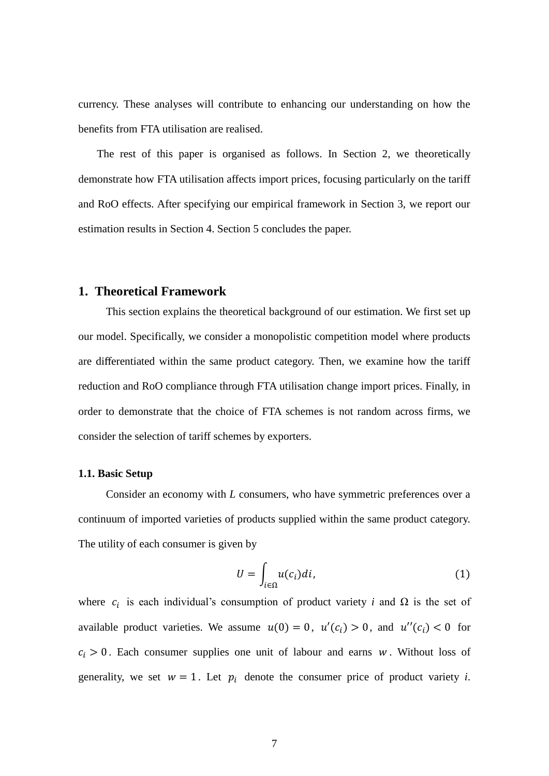currency. These analyses will contribute to enhancing our understanding on how the benefits from FTA utilisation are realised.

The rest of this paper is organised as follows. In Section 2, we theoretically demonstrate how FTA utilisation affects import prices, focusing particularly on the tariff and RoO effects. After specifying our empirical framework in Section 3, we report our estimation results in Section 4. Section 5 concludes the paper.

## **1. Theoretical Framework**

This section explains the theoretical background of our estimation. We first set up our model. Specifically, we consider a monopolistic competition model where products are differentiated within the same product category. Then, we examine how the tariff reduction and RoO compliance through FTA utilisation change import prices. Finally, in order to demonstrate that the choice of FTA schemes is not random across firms, we consider the selection of tariff schemes by exporters.

#### **1.1. Basic Setup**

Consider an economy with *L* consumers, who have symmetric preferences over a continuum of imported varieties of products supplied within the same product category. The utility of each consumer is given by

$$
U = \int_{i \in \Omega} u(c_i) di,
$$
 (1)

where  $c_i$  is each individual's consumption of product variety *i* and  $\Omega$  is the set of available product varieties. We assume  $u(0) = 0$ ,  $u'(c_i) > 0$ , and  $u''(c_i) < 0$  for  $c_i > 0$ . Each consumer supplies one unit of labour and earns *w*. Without loss of generality, we set  $w = 1$ . Let  $p_i$  denote the consumer price of product variety *i*.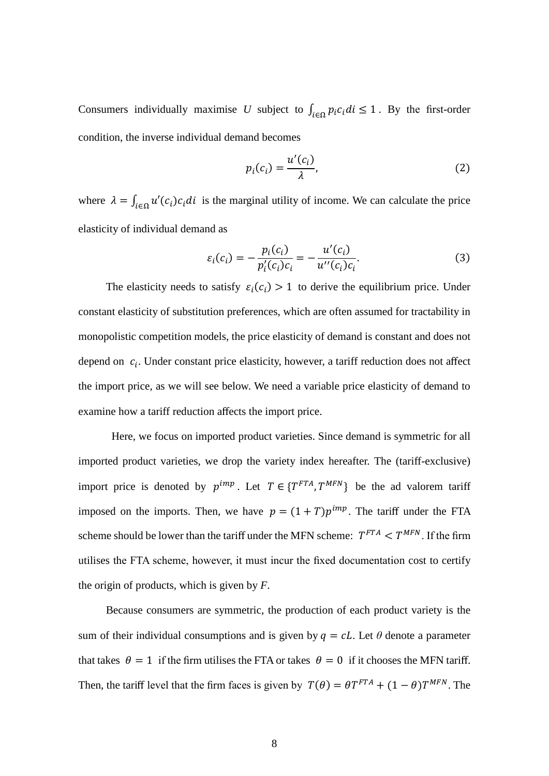Consumers individually maximise *U* subject to  $\int_{i \in \Omega} p_i c_i \, di \leq 1$ . By the first-order condition, the inverse individual demand becomes

$$
p_i(c_i) = \frac{u'(c_i)}{\lambda},\tag{2}
$$

where  $\lambda = \int_{i \in \Omega} u'(c_i) c_i di$  is the marginal utility of income. We can calculate the price elasticity of individual demand as

$$
\varepsilon_i(c_i) = -\frac{p_i(c_i)}{p'_i(c_i)c_i} = -\frac{u'(c_i)}{u''(c_i)c_i}.
$$
\n(3)

The elasticity needs to satisfy  $\varepsilon_i(c_i) > 1$  to derive the equilibrium price. Under constant elasticity of substitution preferences, which are often assumed for tractability in monopolistic competition models, the price elasticity of demand is constant and does not depend on  $c_i$ . Under constant price elasticity, however, a tariff reduction does not affect the import price, as we will see below. We need a variable price elasticity of demand to examine how a tariff reduction affects the import price.

Here, we focus on imported product varieties. Since demand is symmetric for all imported product varieties, we drop the variety index hereafter. The (tariff-exclusive) import price is denoted by  $p^{imp}$ . Let  $T \in \{T^{FTA}, T^{MFN}\}\$  be the ad valorem tariff imposed on the imports. Then, we have  $p = (1 + T)p^{imp}$ . The tariff under the FTA scheme should be lower than the tariff under the MFN scheme:  $T^{FTA} < T^{MFN}$ . If the firm utilises the FTA scheme, however, it must incur the fixed documentation cost to certify the origin of products, which is given by *F*.

Because consumers are symmetric, the production of each product variety is the sum of their individual consumptions and is given by  $q = cL$ . Let  $\theta$  denote a parameter that takes  $\theta = 1$  if the firm utilises the FTA or takes  $\theta = 0$  if it chooses the MFN tariff. Then, the tariff level that the firm faces is given by  $T(\theta) = \theta T^{FTA} + (1 - \theta) T^{MFN}$ . The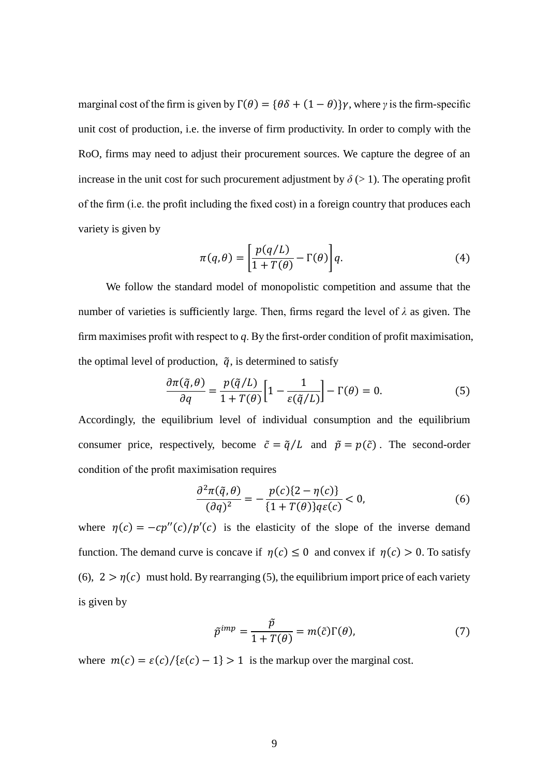marginal cost of the firm is given by  $\Gamma(\theta) = {\theta \delta + (1 - \theta)}\gamma$ , where *γ* is the firm-specific unit cost of production, i.e. the inverse of firm productivity. In order to comply with the RoO, firms may need to adjust their procurement sources. We capture the degree of an increase in the unit cost for such procurement adjustment by  $\delta$  ( $>$  1). The operating profit of the firm (i.e. the profit including the fixed cost) in a foreign country that produces each variety is given by

$$
\pi(q,\theta) = \left[\frac{p(q/L)}{1+T(\theta)} - \Gamma(\theta)\right]q.
$$
\n(4)

We follow the standard model of monopolistic competition and assume that the number of varieties is sufficiently large. Then, firms regard the level of  $\lambda$  as given. The firm maximises profit with respect to *q*. By the first-order condition of profit maximisation, the optimal level of production,  $\tilde{q}$ , is determined to satisfy

$$
\frac{\partial \pi(\tilde{q}, \theta)}{\partial q} = \frac{p(\tilde{q}/L)}{1 + T(\theta)} \left[ 1 - \frac{1}{\varepsilon(\tilde{q}/L)} \right] - \Gamma(\theta) = 0.
$$
 (5)

Accordingly, the equilibrium level of individual consumption and the equilibrium consumer price, respectively, become  $\tilde{c} = \tilde{q}/L$  and  $\tilde{p} = p(\tilde{c})$ . The second-order condition of the profit maximisation requires

$$
\frac{\partial^2 \pi(\tilde{q}, \theta)}{(\partial q)^2} = -\frac{p(c)\{2 - \eta(c)\}}{\{1 + T(\theta)\}q\varepsilon(c)} < 0,\tag{6}
$$

where  $\eta(c) = -cp''(c)/p'(c)$  is the elasticity of the slope of the inverse demand function. The demand curve is concave if  $\eta(c) \le 0$  and convex if  $\eta(c) > 0$ . To satisfy (6),  $2 > \eta(c)$  must hold. By rearranging (5), the equilibrium import price of each variety is given by

$$
\tilde{p}^{imp} = \frac{\tilde{p}}{1 + T(\theta)} = m(\tilde{c})\Gamma(\theta),\tag{7}
$$

where  $m(c) = \varepsilon(c)/\{\varepsilon(c) - 1\} > 1$  is the markup over the marginal cost.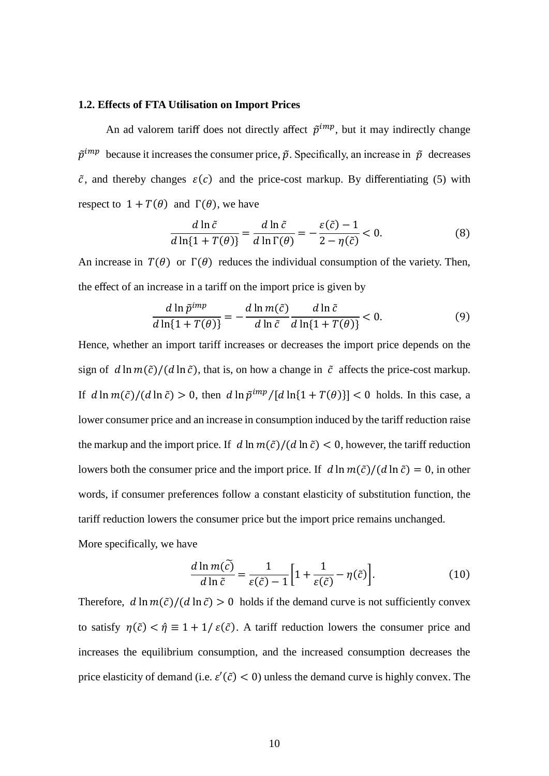#### **1.2. Effects of FTA Utilisation on Import Prices**

An ad valorem tariff does not directly affect  $\tilde{p}^{imp}$ , but it may indirectly change  $\tilde{p}^{imp}$  because it increases the consumer price,  $\tilde{p}$ . Specifically, an increase in  $\tilde{p}$  decreases  $\tilde{c}$ , and thereby changes  $\varepsilon(c)$  and the price-cost markup. By differentiating (5) with respect to  $1 + T(\theta)$  and  $\Gamma(\theta)$ , we have

$$
\frac{d\ln\tilde{c}}{d\ln\{1+T(\theta)\}} = \frac{d\ln\tilde{c}}{d\ln\Gamma(\theta)} = -\frac{\varepsilon(\tilde{c})-1}{2-\eta(\tilde{c})} < 0.
$$
\n(8)

An increase in  $T(\theta)$  or  $\Gamma(\theta)$  reduces the individual consumption of the variety. Then, the effect of an increase in a tariff on the import price is given by

$$
\frac{d\ln\tilde{p}^{imp}}{d\ln\{1+T(\theta)\}} = -\frac{d\ln m(\tilde{c})}{d\ln\tilde{c}}\frac{d\ln\tilde{c}}{d\ln\{1+T(\theta)\}} < 0.
$$
\n(9)

Hence, whether an import tariff increases or decreases the import price depends on the sign of  $d \ln m(\tilde{c})/(d \ln \tilde{c})$ , that is, on how a change in  $\tilde{c}$  affects the price-cost markup. If  $d \ln m(\tilde{c})/(d \ln \tilde{c}) > 0$ , then  $d \ln \tilde{p}^{imp}/[d \ln(1 + T(\theta))] < 0$  holds. In this case, a lower consumer price and an increase in consumption induced by the tariff reduction raise the markup and the import price. If  $d \ln m(\tilde{c})/(d \ln \tilde{c}) < 0$ , however, the tariff reduction lowers both the consumer price and the import price. If  $d \ln m(\tilde{c})/(d \ln \tilde{c}) = 0$ , in other words, if consumer preferences follow a constant elasticity of substitution function, the tariff reduction lowers the consumer price but the import price remains unchanged. More specifically, we have

$$
\frac{d \ln m(\tilde{c})}{d \ln \tilde{c}} = \frac{1}{\varepsilon(\tilde{c}) - 1} \left[ 1 + \frac{1}{\varepsilon(\tilde{c})} - \eta(\tilde{c}) \right].
$$
 (10)

Therefore,  $d \ln m(\tilde{c})/(d \ln \tilde{c}) > 0$  holds if the demand curve is not sufficiently convex to satisfy  $\eta(\tilde{c}) < \hat{\eta} \equiv 1 + 1/\varepsilon(\tilde{c})$ . A tariff reduction lowers the consumer price and increases the equilibrium consumption, and the increased consumption decreases the price elasticity of demand (i.e.  $\varepsilon'(\tilde{c}) < 0$ ) unless the demand curve is highly convex. The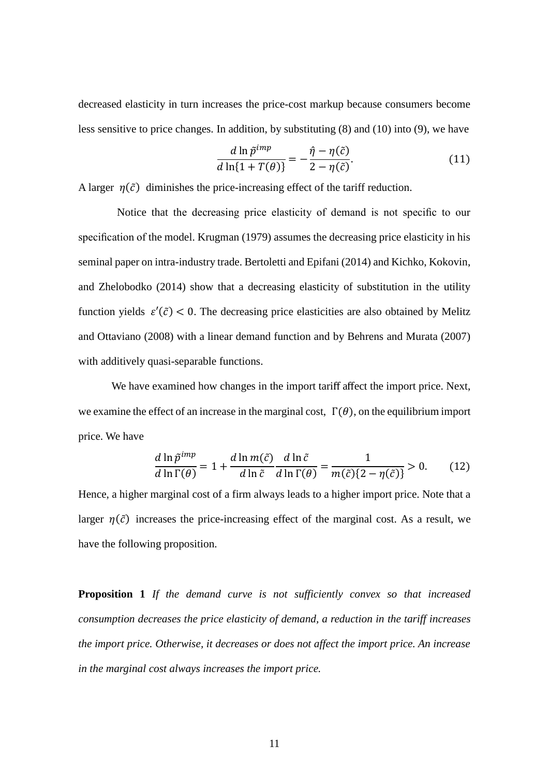decreased elasticity in turn increases the price-cost markup because consumers become less sensitive to price changes. In addition, by substituting (8) and (10) into (9), we have

$$
\frac{d\ln\tilde{p}^{imp}}{d\ln\{1+T(\theta)\}} = -\frac{\hat{\eta} - \eta(\tilde{c})}{2 - \eta(\tilde{c})}.
$$
\n(11)

A larger  $\eta(\tilde{c})$  diminishes the price-increasing effect of the tariff reduction.

Notice that the decreasing price elasticity of demand is not specific to our specification of the model. Krugman (1979) assumes the decreasing price elasticity in his seminal paper on intra-industry trade. Bertoletti and Epifani (2014) and Kichko, Kokovin, and Zhelobodko (2014) show that a decreasing elasticity of substitution in the utility function yields  $\varepsilon'(\tilde{c})$  < 0. The decreasing price elasticities are also obtained by Melitz and Ottaviano (2008) with a linear demand function and by Behrens and Murata (2007) with additively quasi-separable functions.

 We have examined how changes in the import tariff affect the import price. Next, we examine the effect of an increase in the marginal cost,  $\Gamma(\theta)$ , on the equilibrium import price. We have

$$
\frac{d \ln \tilde{p}^{imp}}{d \ln \Gamma(\theta)} = 1 + \frac{d \ln m(\tilde{c})}{d \ln \tilde{c}} \frac{d \ln \tilde{c}}{d \ln \Gamma(\theta)} = \frac{1}{m(\tilde{c})\{2 - \eta(\tilde{c})\}} > 0.
$$
 (12)

Hence, a higher marginal cost of a firm always leads to a higher import price. Note that a larger  $\eta(\tilde{c})$  increases the price-increasing effect of the marginal cost. As a result, we have the following proposition.

**Proposition 1** *If the demand curve is not sufficiently convex so that increased consumption decreases the price elasticity of demand, a reduction in the tariff increases the import price. Otherwise, it decreases or does not affect the import price. An increase in the marginal cost always increases the import price.*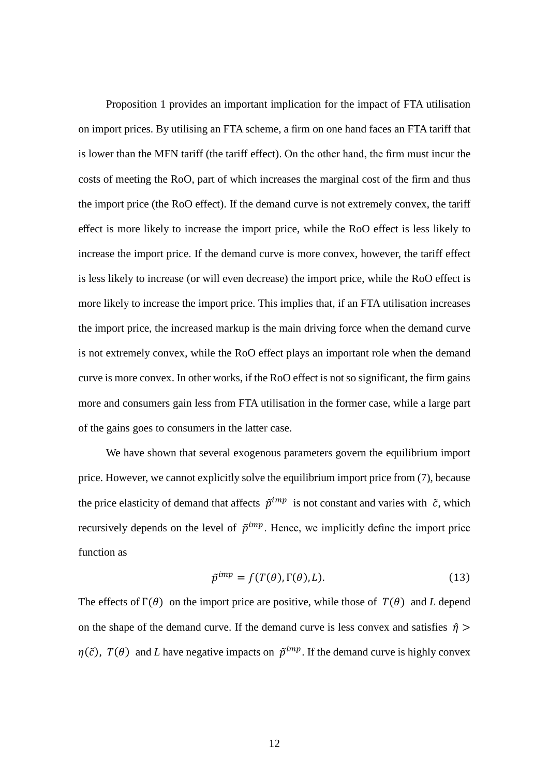Proposition 1 provides an important implication for the impact of FTA utilisation on import prices. By utilising an FTA scheme, a firm on one hand faces an FTA tariff that is lower than the MFN tariff (the tariff effect). On the other hand, the firm must incur the costs of meeting the RoO, part of which increases the marginal cost of the firm and thus the import price (the RoO effect). If the demand curve is not extremely convex, the tariff effect is more likely to increase the import price, while the RoO effect is less likely to increase the import price. If the demand curve is more convex, however, the tariff effect is less likely to increase (or will even decrease) the import price, while the RoO effect is more likely to increase the import price. This implies that, if an FTA utilisation increases the import price, the increased markup is the main driving force when the demand curve is not extremely convex, while the RoO effect plays an important role when the demand curve is more convex. In other works, if the RoO effect is not so significant, the firm gains more and consumers gain less from FTA utilisation in the former case, while a large part of the gains goes to consumers in the latter case.

 We have shown that several exogenous parameters govern the equilibrium import price. However, we cannot explicitly solve the equilibrium import price from (7), because the price elasticity of demand that affects  $\tilde{p}^{imp}$  is not constant and varies with  $\tilde{c}$ , which recursively depends on the level of  $\tilde{p}^{imp}$ . Hence, we implicitly define the import price function as

$$
\tilde{p}^{imp} = f(T(\theta), \Gamma(\theta), L). \tag{13}
$$

The effects of  $\Gamma(\theta)$  on the import price are positive, while those of  $T(\theta)$  and *L* depend on the shape of the demand curve. If the demand curve is less convex and satisfies  $\hat{\eta}$  >  $\eta(\tilde{c})$ ,  $T(\theta)$  and *L* have negative impacts on  $\tilde{p}^{imp}$ . If the demand curve is highly convex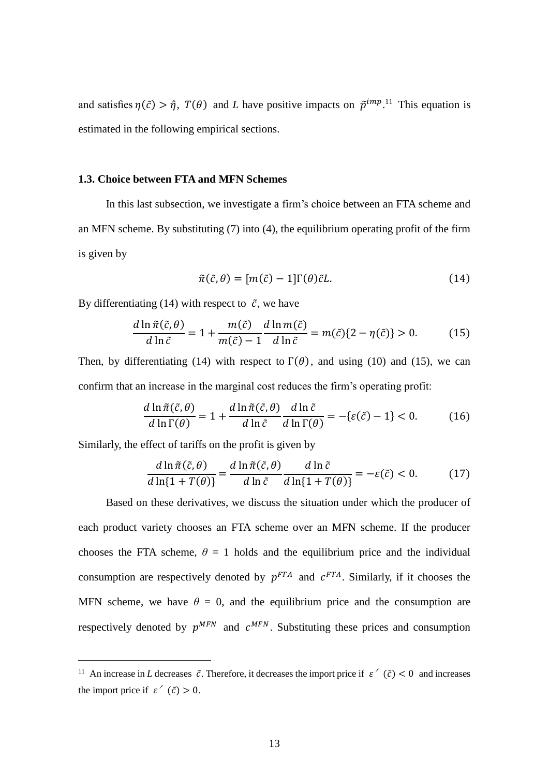and satisfies  $\eta(\tilde{c}) > \hat{\eta}$ ,  $T(\theta)$  and *L* have positive impacts on  $\tilde{p}^{imp}$ .<sup>11</sup> This equation is estimated in the following empirical sections.

#### **1.3. Choice between FTA and MFN Schemes**

In this last subsection, we investigate a firm's choice between an FTA scheme and an MFN scheme. By substituting (7) into (4), the equilibrium operating profit of the firm is given by

$$
\tilde{\pi}(\tilde{c}, \theta) = [m(\tilde{c}) - 1] \Gamma(\theta) \tilde{c} L. \tag{14}
$$

By differentiating (14) with respect to  $\tilde{c}$ , we have

$$
\frac{d\ln\tilde{\pi}(\tilde{c},\theta)}{d\ln\tilde{c}} = 1 + \frac{m(\tilde{c})}{m(\tilde{c}) - 1} \frac{d\ln m(\tilde{c})}{d\ln\tilde{c}} = m(\tilde{c})\{2 - \eta(\tilde{c})\} > 0.
$$
 (15)

Then, by differentiating (14) with respect to  $\Gamma(\theta)$ , and using (10) and (15), we can confirm that an increase in the marginal cost reduces the firm's operating profit:

$$
\frac{d\ln\tilde{\pi}(\tilde{c},\theta)}{d\ln\Gamma(\theta)} = 1 + \frac{d\ln\tilde{\pi}(\tilde{c},\theta)}{d\ln\tilde{c}}\frac{d\ln\tilde{c}}{d\ln\Gamma(\theta)} = -\{\varepsilon(\tilde{c}) - 1\} < 0.
$$
 (16)

Similarly, the effect of tariffs on the profit is given by

 $\overline{a}$ 

$$
\frac{d\ln\tilde{\pi}(\tilde{c},\theta)}{d\ln\{1+T(\theta)\}} = \frac{d\ln\tilde{\pi}(\tilde{c},\theta)}{d\ln\tilde{c}}\frac{d\ln\tilde{c}}{d\ln\{1+T(\theta)\}} = -\varepsilon(\tilde{c}) < 0. \tag{17}
$$

Based on these derivatives, we discuss the situation under which the producer of each product variety chooses an FTA scheme over an MFN scheme. If the producer chooses the FTA scheme,  $\theta = 1$  holds and the equilibrium price and the individual consumption are respectively denoted by  $p^{FTA}$  and  $c^{FTA}$ . Similarly, if it chooses the MFN scheme, we have  $\theta = 0$ , and the equilibrium price and the consumption are respectively denoted by  $p^{MFN}$  and  $c^{MFN}$ . Substituting these prices and consumption

<sup>&</sup>lt;sup>11</sup> An increase in *L* decreases  $\tilde{c}$ . Therefore, it decreases the import price if  $\varepsilon'(\tilde{c}) < 0$  and increases the import price if  $\varepsilon'(\tilde{c}) > 0$ .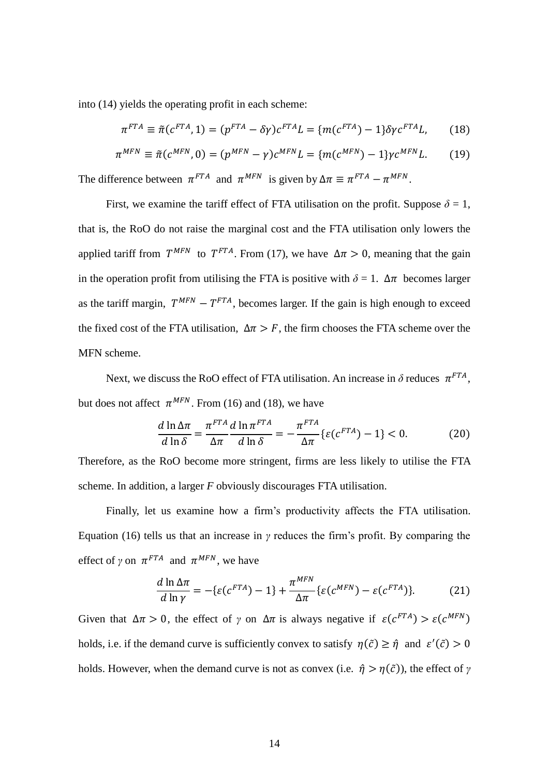into (14) yields the operating profit in each scheme:

$$
\pi^{FTA} \equiv \tilde{\pi}(c^{FTA}, 1) = (p^{FTA} - \delta\gamma)c^{FTA}L = \{m(c^{FTA}) - 1\}\delta\gamma c^{FTA}L, \tag{18}
$$

$$
\pi^{MFN} \equiv \tilde{\pi}(c^{MFN}, 0) = (p^{MFN} - \gamma)c^{MFN}L = \{m(c^{MFN}) - 1\}\gamma c^{MFN}L.
$$
 (19)

The difference between  $\pi^{FTA}$  and  $\pi^{MFN}$  is given by  $\Delta \pi \equiv \pi^{FTA} - \pi^{MFN}$ .

First, we examine the tariff effect of FTA utilisation on the profit. Suppose  $\delta = 1$ , that is, the RoO do not raise the marginal cost and the FTA utilisation only lowers the applied tariff from  $T^{MFN}$  to  $T^{FTA}$ . From (17), we have  $\Delta \pi > 0$ , meaning that the gain in the operation profit from utilising the FTA is positive with  $\delta = 1$ .  $\Delta \pi$  becomes larger as the tariff margin,  $T^{MFN} - T^{FTA}$ , becomes larger. If the gain is high enough to exceed the fixed cost of the FTA utilisation,  $\Delta \pi > F$ , the firm chooses the FTA scheme over the MFN scheme.

Next, we discuss the RoO effect of FTA utilisation. An increase in  $\delta$  reduces  $\pi^{FTA}$ , but does not affect  $\pi^{MFN}$ . From (16) and (18), we have

$$
\frac{d\ln\Delta\pi}{d\ln\delta} = \frac{\pi^{FTA}}{\Delta\pi}\frac{d\ln\pi^{FTA}}{d\ln\delta} = -\frac{\pi^{FTA}}{\Delta\pi}\{\varepsilon(c^{FTA}) - 1\} < 0.
$$
 (20)

Therefore, as the RoO become more stringent, firms are less likely to utilise the FTA scheme. In addition, a larger *F* obviously discourages FTA utilisation.

Finally, let us examine how a firm's productivity affects the FTA utilisation. Equation (16) tells us that an increase in *γ* reduces the firm's profit. By comparing the effect of *γ* on  $\pi^{FTA}$  and  $\pi^{MFN}$ , we have

$$
\frac{d\ln\Delta\pi}{d\ln\gamma} = -\{\varepsilon(c^{FTA}) - 1\} + \frac{\pi^{MFN}}{\Delta\pi} \{\varepsilon(c^{MFN}) - \varepsilon(c^{FTA})\}.
$$
 (21)

Given that  $\Delta \pi > 0$ , the effect of *γ* on  $\Delta \pi$  is always negative if  $\varepsilon (c^{FTA}) > \varepsilon (c^{MFN})$ holds, i.e. if the demand curve is sufficiently convex to satisfy  $\eta(\tilde{c}) \geq \hat{\eta}$  and  $\varepsilon'(\tilde{c}) > 0$ holds. However, when the demand curve is not as convex (i.e.  $\hat{\eta} > \eta(\tilde{c})$ ), the effect of  $\gamma$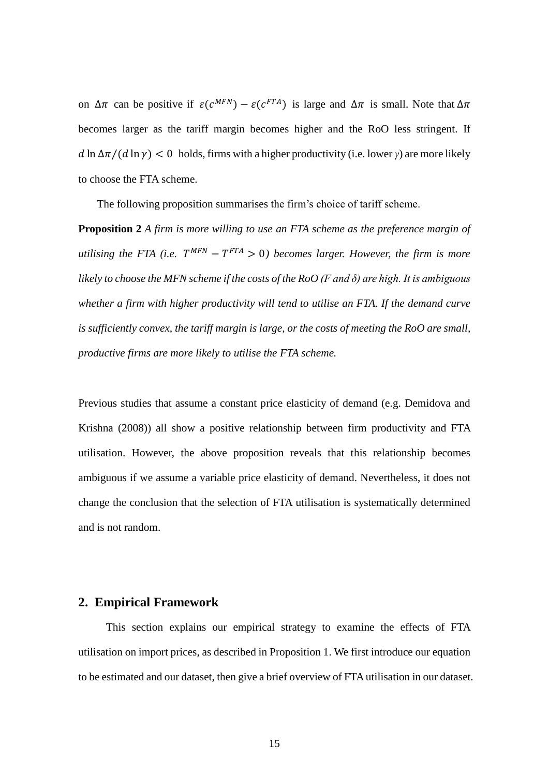on  $\Delta \pi$  can be positive if  $\varepsilon (c^{MFN}) - \varepsilon (c^{FTA})$  is large and  $\Delta \pi$  is small. Note that  $\Delta \pi$ becomes larger as the tariff margin becomes higher and the RoO less stringent. If  $d \ln \Delta \pi/(d \ln \gamma) < 0$  holds, firms with a higher productivity (i.e. lower *γ*) are more likely to choose the FTA scheme.

The following proposition summarises the firm's choice of tariff scheme.

**Proposition 2** *A firm is more willing to use an FTA scheme as the preference margin of utilising the FTA (i.e.*  $T^{MFN} - T^{FTA} > 0$ ) becomes larger. However, the firm is more *likely to choose the MFN scheme if the costs of the RoO (F and δ) are high. It is ambiguous whether a firm with higher productivity will tend to utilise an FTA. If the demand curve is sufficiently convex, the tariff margin is large, or the costs of meeting the RoO are small, productive firms are more likely to utilise the FTA scheme.*

Previous studies that assume a constant price elasticity of demand (e.g. Demidova and Krishna (2008)) all show a positive relationship between firm productivity and FTA utilisation. However, the above proposition reveals that this relationship becomes ambiguous if we assume a variable price elasticity of demand. Nevertheless, it does not change the conclusion that the selection of FTA utilisation is systematically determined and is not random.

## **2. Empirical Framework**

This section explains our empirical strategy to examine the effects of FTA utilisation on import prices, as described in Proposition 1. We first introduce our equation to be estimated and our dataset, then give a brief overview of FTA utilisation in our dataset.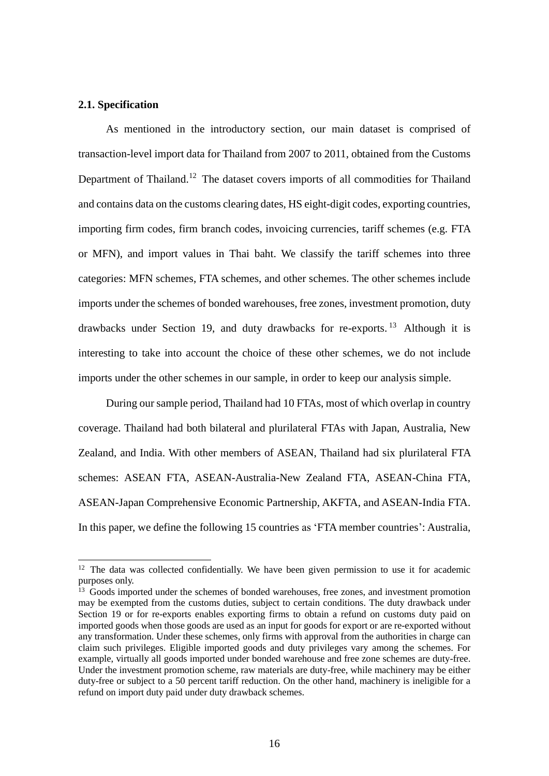#### **2.1. Specification**

 $\overline{a}$ 

As mentioned in the introductory section, our main dataset is comprised of transaction-level import data for Thailand from 2007 to 2011, obtained from the Customs Department of Thailand.<sup>12</sup> The dataset covers imports of all commodities for Thailand and contains data on the customs clearing dates, HS eight-digit codes, exporting countries, importing firm codes, firm branch codes, invoicing currencies, tariff schemes (e.g. FTA or MFN), and import values in Thai baht. We classify the tariff schemes into three categories: MFN schemes, FTA schemes, and other schemes. The other schemes include imports under the schemes of bonded warehouses, free zones, investment promotion, duty drawbacks under Section 19, and duty drawbacks for re-exports. <sup>13</sup> Although it is interesting to take into account the choice of these other schemes, we do not include imports under the other schemes in our sample, in order to keep our analysis simple.

During our sample period, Thailand had 10 FTAs, most of which overlap in country coverage. Thailand had both bilateral and plurilateral FTAs with Japan, Australia, New Zealand, and India. With other members of ASEAN, Thailand had six plurilateral FTA schemes: ASEAN FTA, ASEAN-Australia-New Zealand FTA, ASEAN-China FTA, ASEAN-Japan Comprehensive Economic Partnership, AKFTA, and ASEAN-India FTA. In this paper, we define the following 15 countries as 'FTA member countries': Australia,

 $12$  The data was collected confidentially. We have been given permission to use it for academic purposes only.

<sup>&</sup>lt;sup>13</sup> Goods imported under the schemes of bonded warehouses, free zones, and investment promotion may be exempted from the customs duties, subject to certain conditions. The duty drawback under Section 19 or for re-exports enables exporting firms to obtain a refund on customs duty paid on imported goods when those goods are used as an input for goods for export or are re-exported without any transformation. Under these schemes, only firms with approval from the authorities in charge can claim such privileges. Eligible imported goods and duty privileges vary among the schemes. For example, virtually all goods imported under bonded warehouse and free zone schemes are duty-free. Under the investment promotion scheme, raw materials are duty-free, while machinery may be either duty-free or subject to a 50 percent tariff reduction. On the other hand, machinery is ineligible for a refund on import duty paid under duty drawback schemes.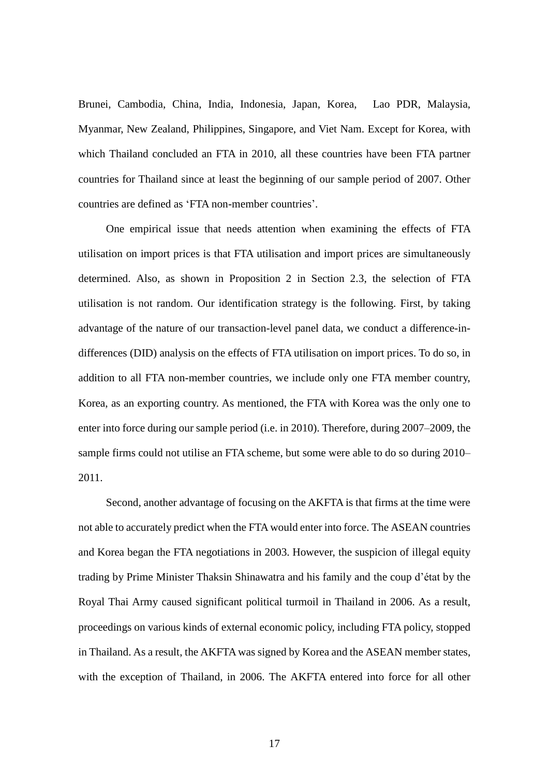Brunei, Cambodia, China, India, Indonesia, Japan, Korea, Lao PDR, Malaysia, Myanmar, New Zealand, Philippines, Singapore, and Viet Nam. Except for Korea, with which Thailand concluded an FTA in 2010, all these countries have been FTA partner countries for Thailand since at least the beginning of our sample period of 2007. Other countries are defined as 'FTA non-member countries'.

One empirical issue that needs attention when examining the effects of FTA utilisation on import prices is that FTA utilisation and import prices are simultaneously determined. Also, as shown in Proposition 2 in Section 2.3, the selection of FTA utilisation is not random. Our identification strategy is the following. First, by taking advantage of the nature of our transaction-level panel data, we conduct a difference-indifferences (DID) analysis on the effects of FTA utilisation on import prices. To do so, in addition to all FTA non-member countries, we include only one FTA member country, Korea, as an exporting country. As mentioned, the FTA with Korea was the only one to enter into force during our sample period (i.e. in 2010). Therefore, during 2007–2009, the sample firms could not utilise an FTA scheme, but some were able to do so during 2010– 2011.

Second, another advantage of focusing on the AKFTA is that firms at the time were not able to accurately predict when the FTA would enter into force. The ASEAN countries and Korea began the FTA negotiations in 2003. However, the suspicion of illegal equity trading by Prime Minister Thaksin Shinawatra and his family and the coup d'état by the Royal Thai Army caused significant political turmoil in Thailand in 2006. As a result, proceedings on various kinds of external economic policy, including FTA policy, stopped in Thailand. As a result, the AKFTA was signed by Korea and the ASEAN member states, with the exception of Thailand, in 2006. The AKFTA entered into force for all other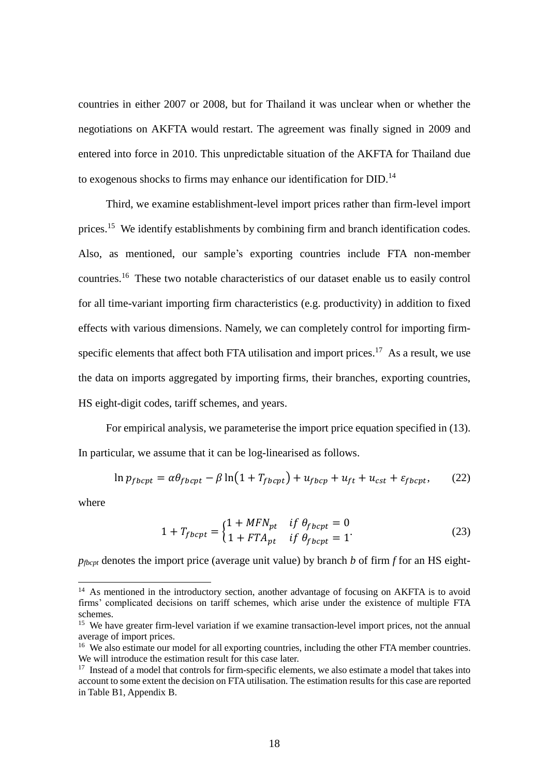countries in either 2007 or 2008, but for Thailand it was unclear when or whether the negotiations on AKFTA would restart. The agreement was finally signed in 2009 and entered into force in 2010. This unpredictable situation of the AKFTA for Thailand due to exogenous shocks to firms may enhance our identification for DID.<sup>14</sup>

Third, we examine establishment-level import prices rather than firm-level import prices.<sup>15</sup> We identify establishments by combining firm and branch identification codes. Also, as mentioned, our sample's exporting countries include FTA non-member countries.<sup>16</sup> These two notable characteristics of our dataset enable us to easily control for all time-variant importing firm characteristics (e.g. productivity) in addition to fixed effects with various dimensions. Namely, we can completely control for importing firmspecific elements that affect both FTA utilisation and import prices.<sup>17</sup> As a result, we use the data on imports aggregated by importing firms, their branches, exporting countries, HS eight-digit codes, tariff schemes, and years.

For empirical analysis, we parameterise the import price equation specified in (13). In particular, we assume that it can be log-linearised as follows.

$$
\ln p_{fbcpt} = \alpha \theta_{fbcpt} - \beta \ln(1 + T_{fbcpt}) + u_{fbcpt} + u_{ft} + u_{cst} + \varepsilon_{fbcpt}, \qquad (22)
$$

where

$$
1 + T_{fbcpt} = \begin{cases} 1 + MFN_{pt} & \text{if } \theta_{fbcpt} = 0\\ 1 + FTA_{pt} & \text{if } \theta_{fbcpt} = 1 \end{cases}
$$
 (23)

 $p_{thcont}$  denotes the import price (average unit value) by branch *b* of firm *f* for an HS eight-

<sup>&</sup>lt;sup>14</sup> As mentioned in the introductory section, another advantage of focusing on AKFTA is to avoid firms' complicated decisions on tariff schemes, which arise under the existence of multiple FTA schemes.

<sup>&</sup>lt;sup>15</sup> We have greater firm-level variation if we examine transaction-level import prices, not the annual average of import prices.

<sup>&</sup>lt;sup>16</sup> We also estimate our model for all exporting countries, including the other FTA member countries. We will introduce the estimation result for this case later.

 $17$  Instead of a model that controls for firm-specific elements, we also estimate a model that takes into account to some extent the decision on FTA utilisation. The estimation results for this case are reported in Table B1, Appendix B.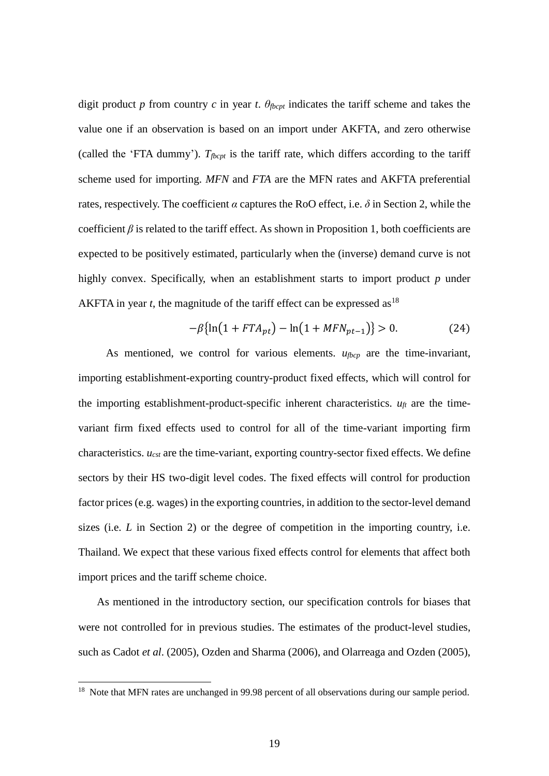digit product *p* from country *c* in year *t*.  $\theta_{\text{fb}cpt}$  indicates the tariff scheme and takes the value one if an observation is based on an import under AKFTA, and zero otherwise (called the 'FTA dummy'). *Tfbcpt* is the tariff rate, which differs according to the tariff scheme used for importing. *MFN* and *FTA* are the MFN rates and AKFTA preferential rates, respectively. The coefficient  $\alpha$  captures the RoO effect, i.e.  $\delta$  in Section 2, while the coefficient  $\beta$  is related to the tariff effect. As shown in Proposition 1, both coefficients are expected to be positively estimated, particularly when the (inverse) demand curve is not highly convex. Specifically, when an establishment starts to import product *p* under AKFTA in year  $t$ , the magnitude of the tariff effect can be expressed as<sup>18</sup>

$$
-\beta\{\ln(1 + FTA_{pt}) - \ln(1 + MFN_{pt-1})\} > 0. \tag{24}
$$

As mentioned, we control for various elements. *ufbcp* are the time-invariant, importing establishment-exporting country-product fixed effects, which will control for the importing establishment-product-specific inherent characteristics.  $u_{ft}$  are the timevariant firm fixed effects used to control for all of the time-variant importing firm characteristics. *ucst* are the time-variant, exporting country-sector fixed effects. We define sectors by their HS two-digit level codes. The fixed effects will control for production factor prices (e.g. wages) in the exporting countries, in addition to the sector-level demand sizes (i.e. *L* in Section 2) or the degree of competition in the importing country, i.e. Thailand. We expect that these various fixed effects control for elements that affect both import prices and the tariff scheme choice.

As mentioned in the introductory section, our specification controls for biases that were not controlled for in previous studies. The estimates of the product-level studies, such as Cadot *et al*. (2005), Ozden and Sharma (2006), and Olarreaga and Ozden (2005),

 $\overline{a}$ 

<sup>&</sup>lt;sup>18</sup> Note that MFN rates are unchanged in 99.98 percent of all observations during our sample period.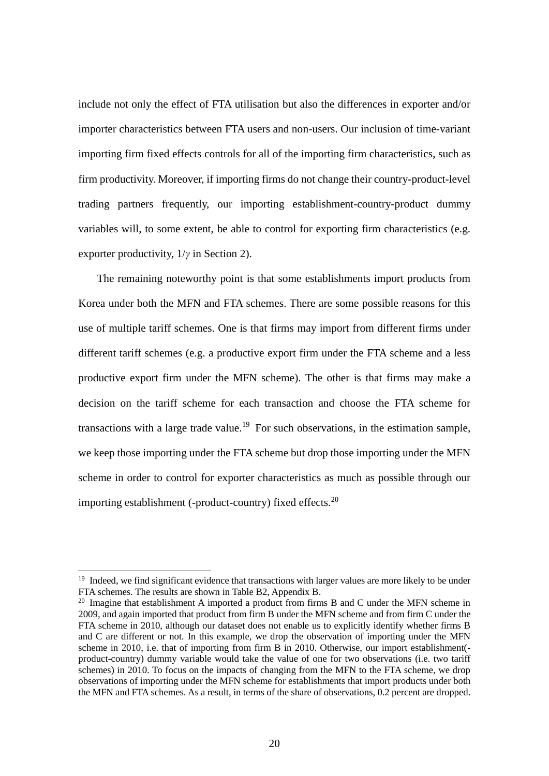include not only the effect of FTA utilisation but also the differences in exporter and/or importer characteristics between FTA users and non-users. Our inclusion of time-variant importing firm fixed effects controls for all of the importing firm characteristics, such as firm productivity. Moreover, if importing firms do not change their country-product-level trading partners frequently, our importing establishment-country-product dummy variables will, to some extent, be able to control for exporting firm characteristics (e.g. exporter productivity, 1/*γ* in Section 2).

The remaining noteworthy point is that some establishments import products from Korea under both the MFN and FTA schemes. There are some possible reasons for this use of multiple tariff schemes. One is that firms may import from different firms under different tariff schemes (e.g. a productive export firm under the FTA scheme and a less productive export firm under the MFN scheme). The other is that firms may make a decision on the tariff scheme for each transaction and choose the FTA scheme for transactions with a large trade value.<sup>19</sup> For such observations, in the estimation sample, we keep those importing under the FTA scheme but drop those importing under the MFN scheme in order to control for exporter characteristics as much as possible through our importing establishment (-product-country) fixed effects.<sup>20</sup>

 $\overline{a}$ 

<sup>&</sup>lt;sup>19</sup> Indeed, we find significant evidence that transactions with larger values are more likely to be under FTA schemes. The results are shown in Table B2, Appendix B.

<sup>&</sup>lt;sup>20</sup> Imagine that establishment A imported a product from firms B and C under the MFN scheme in 2009, and again imported that product from firm B under the MFN scheme and from firm C under the FTA scheme in 2010, although our dataset does not enable us to explicitly identify whether firms B and C are different or not. In this example, we drop the observation of importing under the MFN scheme in 2010, i.e. that of importing from firm B in 2010. Otherwise, our import establishment( product-country) dummy variable would take the value of one for two observations (i.e. two tariff schemes) in 2010. To focus on the impacts of changing from the MFN to the FTA scheme, we drop observations of importing under the MFN scheme for establishments that import products under both the MFN and FTA schemes. As a result, in terms of the share of observations, 0.2 percent are dropped.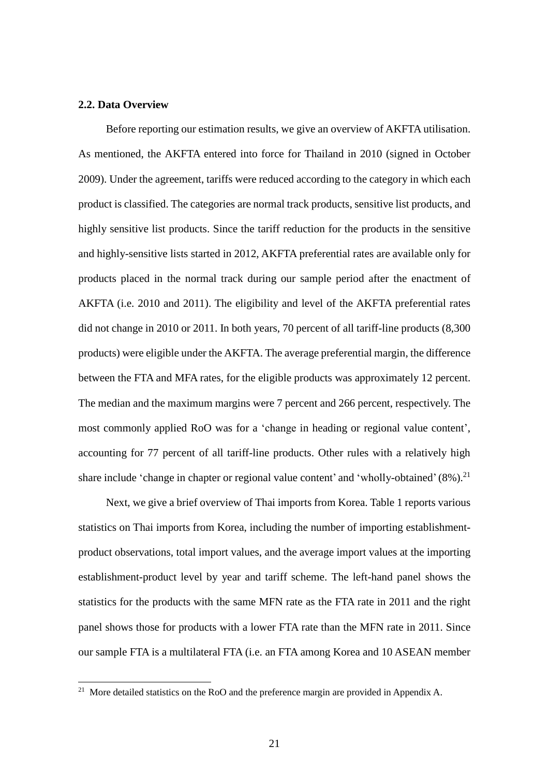#### **2.2. Data Overview**

 $\overline{a}$ 

Before reporting our estimation results, we give an overview of AKFTA utilisation. As mentioned, the AKFTA entered into force for Thailand in 2010 (signed in October 2009). Under the agreement, tariffs were reduced according to the category in which each product is classified. The categories are normal track products, sensitive list products, and highly sensitive list products. Since the tariff reduction for the products in the sensitive and highly-sensitive lists started in 2012, AKFTA preferential rates are available only for products placed in the normal track during our sample period after the enactment of AKFTA (i.e. 2010 and 2011). The eligibility and level of the AKFTA preferential rates did not change in 2010 or 2011. In both years, 70 percent of all tariff-line products (8,300 products) were eligible under the AKFTA. The average preferential margin, the difference between the FTA and MFA rates, for the eligible products was approximately 12 percent. The median and the maximum margins were 7 percent and 266 percent, respectively. The most commonly applied RoO was for a 'change in heading or regional value content', accounting for 77 percent of all tariff-line products. Other rules with a relatively high share include 'change in chapter or regional value content' and 'wholly-obtained' (8%).<sup>21</sup>

Next, we give a brief overview of Thai imports from Korea. Table 1 reports various statistics on Thai imports from Korea, including the number of importing establishmentproduct observations, total import values, and the average import values at the importing establishment-product level by year and tariff scheme. The left-hand panel shows the statistics for the products with the same MFN rate as the FTA rate in 2011 and the right panel shows those for products with a lower FTA rate than the MFN rate in 2011. Since our sample FTA is a multilateral FTA (i.e. an FTA among Korea and 10 ASEAN member

<sup>&</sup>lt;sup>21</sup> More detailed statistics on the RoO and the preference margin are provided in Appendix A.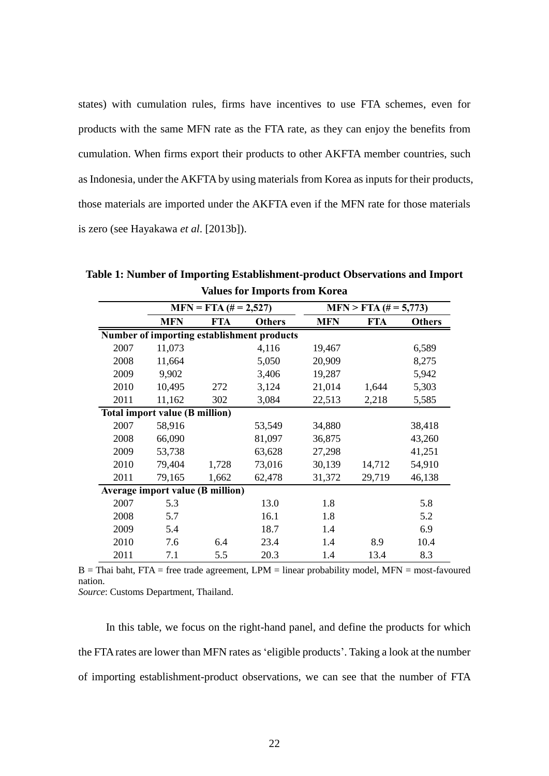states) with cumulation rules, firms have incentives to use FTA schemes, even for products with the same MFN rate as the FTA rate, as they can enjoy the benefits from cumulation. When firms export their products to other AKFTA member countries, such as Indonesia, under the AKFTA by using materials from Korea as inputs for their products, those materials are imported under the AKFTA even if the MFN rate for those materials is zero (see Hayakawa *et al*. [2013b]).

**MFN FTA Others MFN FTA Others Number of importing establishment products** 2007 11,073 4,116 19,467 6,589 2008 11,664 5,050 20,909 8,275 2009 9,902 3,406 19,287 5,942 2010 10,495 272 3,124 21,014 1,644 5,303 2011 11,162 302 3,084 22,513 2,218 5,585 **Total import value (B million)** 2007 58,916 53,549 34,880 38,418 2008 66,090 81,097 36,875 43,260 2009 53,738 63,628 27,298 41,251 2010 79,404 1,728 73,016 30,139 14,712 54,910 2011 79,165 1,662 62,478 31,372 29,719 46,138 **Average import value (B million)** 2007 5.3 13.0 1.8 5.8 2008 5.7 16.1 1.8 5.2 2009 5.4 18.7 1.4 6.9 2010 7.6 6.4 23.4 1.4 8.9 10.4 2011 7.1 5.5 20.3 1.4 13.4 8.3  $MFN = FTA (# = 2,527)$  **MFN > FTA**  $# = 5,773$ 

**Table 1: Number of Importing Establishment-product Observations and Import Values for Imports from Korea**

 $B =$ Thai baht, FTA = free trade agreement, LPM = linear probability model, MFN = most-favoured nation.

*Source*: Customs Department, Thailand.

In this table, we focus on the right-hand panel, and define the products for which the FTA rates are lower than MFN rates as 'eligible products'. Taking a look at the number of importing establishment-product observations, we can see that the number of FTA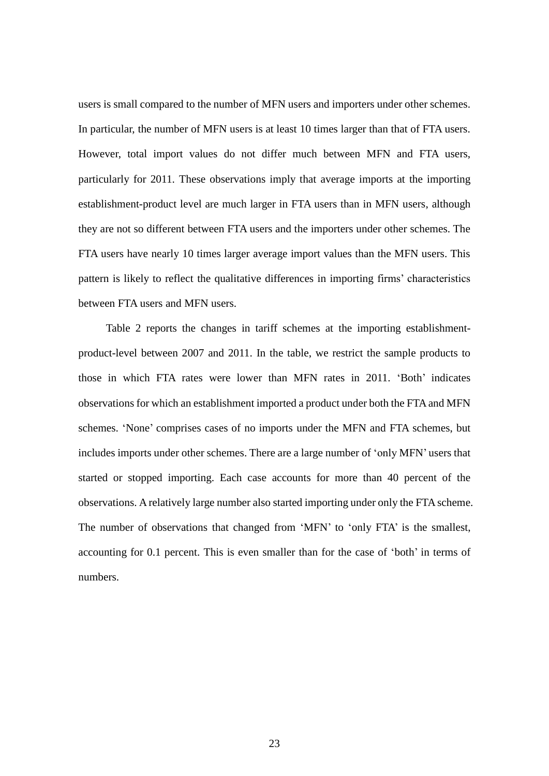users is small compared to the number of MFN users and importers under other schemes. In particular, the number of MFN users is at least 10 times larger than that of FTA users. However, total import values do not differ much between MFN and FTA users, particularly for 2011. These observations imply that average imports at the importing establishment-product level are much larger in FTA users than in MFN users, although they are not so different between FTA users and the importers under other schemes. The FTA users have nearly 10 times larger average import values than the MFN users. This pattern is likely to reflect the qualitative differences in importing firms' characteristics between FTA users and MFN users.

Table 2 reports the changes in tariff schemes at the importing establishmentproduct-level between 2007 and 2011. In the table, we restrict the sample products to those in which FTA rates were lower than MFN rates in 2011. 'Both' indicates observations for which an establishment imported a product under both the FTA and MFN schemes. 'None' comprises cases of no imports under the MFN and FTA schemes, but includes imports under other schemes. There are a large number of 'only MFN' users that started or stopped importing. Each case accounts for more than 40 percent of the observations. A relatively large number also started importing under only the FTA scheme. The number of observations that changed from 'MFN' to 'only FTA' is the smallest, accounting for 0.1 percent. This is even smaller than for the case of 'both' in terms of numbers.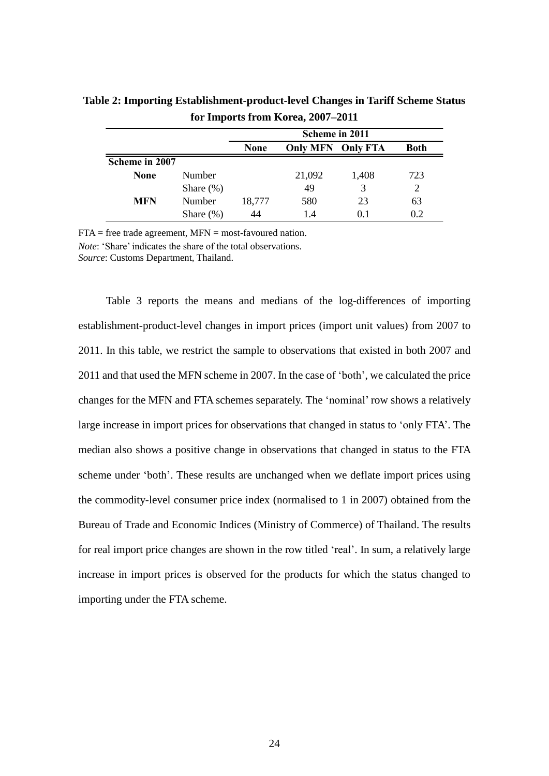|                |              | Scheme in 2011 |                          |       |             |
|----------------|--------------|----------------|--------------------------|-------|-------------|
|                |              | <b>None</b>    | <b>Only MFN Only FTA</b> |       | <b>Both</b> |
| Scheme in 2007 |              |                |                          |       |             |
| <b>None</b>    | Number       |                | 21,092                   | 1,408 | 723         |
|                | Share $(\%)$ |                | 49                       | 3     |             |
| <b>MFN</b>     | Number       | 18,777         | 580                      | 23    | 63          |
|                | Share $(\%)$ |                | 14                       | 0 I   | 0.2         |

**Table 2: Importing Establishment-product-level Changes in Tariff Scheme Status for Imports from Korea, 2007–2011**

 $FTA = free trade agreement, MFN = most-favoured nation.$ 

*Note*: 'Share' indicates the share of the total observations.

*Source*: Customs Department, Thailand.

Table 3 reports the means and medians of the log-differences of importing establishment-product-level changes in import prices (import unit values) from 2007 to 2011. In this table, we restrict the sample to observations that existed in both 2007 and 2011 and that used the MFN scheme in 2007. In the case of 'both', we calculated the price changes for the MFN and FTA schemes separately. The 'nominal'row shows a relatively large increase in import prices for observations that changed in status to 'only FTA'. The median also shows a positive change in observations that changed in status to the FTA scheme under 'both'. These results are unchanged when we deflate import prices using the commodity-level consumer price index (normalised to 1 in 2007) obtained from the Bureau of Trade and Economic Indices (Ministry of Commerce) of Thailand. The results for real import price changes are shown in the row titled 'real'. In sum, a relatively large increase in import prices is observed for the products for which the status changed to importing under the FTA scheme.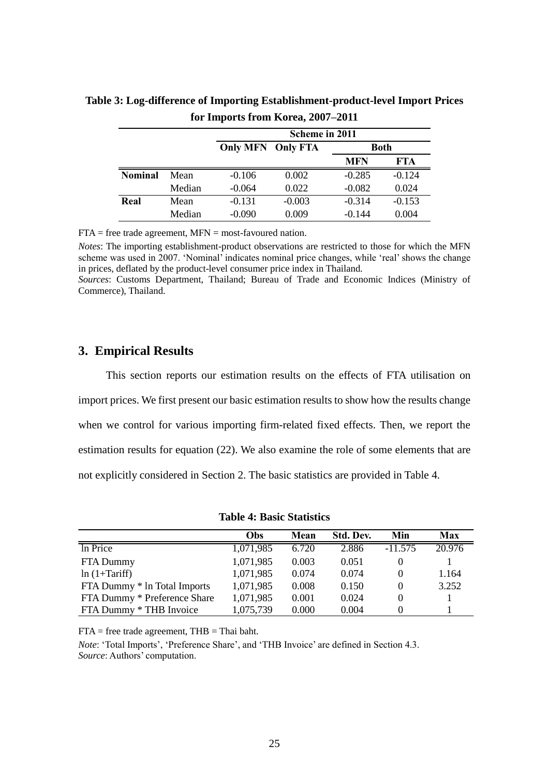|                |        | Scheme in 2011                          |          |            |            |  |
|----------------|--------|-----------------------------------------|----------|------------|------------|--|
|                |        | <b>Only MFN Only FTA</b><br><b>Both</b> |          |            |            |  |
|                |        |                                         |          | <b>MFN</b> | <b>FTA</b> |  |
| <b>Nominal</b> | Mean   | $-0.106$                                | 0.002    | $-0.285$   | $-0.124$   |  |
|                | Median | $-0.064$                                | 0.022    | $-0.082$   | 0.024      |  |
| Real           | Mean   | $-0.131$                                | $-0.003$ | $-0.314$   | $-0.153$   |  |
|                | Median | $-0.090$                                | 0.009    | $-0.144$   | 0.004      |  |

**Table 3: Log-difference of Importing Establishment-product-level Import Prices for Imports from Korea, 2007–2011**

 $FTA = free trade agreement, MFN = most-favoured nation.$ 

*Notes*: The importing establishment-product observations are restricted to those for which the MFN scheme was used in 2007. 'Nominal' indicates nominal price changes, while 'real' shows the change in prices, deflated by the product-level consumer price index in Thailand.

*Sources*: Customs Department, Thailand; Bureau of Trade and Economic Indices (Ministry of Commerce), Thailand.

## **3. Empirical Results**

This section reports our estimation results on the effects of FTA utilisation on import prices. We first present our basic estimation results to show how the results change when we control for various importing firm-related fixed effects. Then, we report the estimation results for equation (22). We also examine the role of some elements that are not explicitly considered in Section 2. The basic statistics are provided in Table 4.

|                              | <b>Obs</b> | Mean  | Std. Dev. | Min       | Max    |
|------------------------------|------------|-------|-----------|-----------|--------|
| In Price                     | 1,071,985  | 6.720 | 2.886     | $-11.575$ | 20.976 |
| FTA Dummy                    | 1,071,985  | 0.003 | 0.051     |           |        |
| $ln(1+Tariff)$               | 1,071,985  | 0.074 | 0.074     |           | 1.164  |
| FTA Dummy * In Total Imports | 1,071,985  | 0.008 | 0.150     |           | 3.252  |
| FTA Dummy * Preference Share | 1,071,985  | 0.001 | 0.024     |           |        |
| FTA Dummy * THB Invoice      | 1,075,739  | 0.000 | 0.004     |           |        |

**Table 4: Basic Statistics**

 $FTA = free trade agreement, THB = Thai bath.$ 

*Note*: 'Total Imports', 'Preference Share', and 'THB Invoice' are defined in Section 4.3. *Source*: Authors' computation.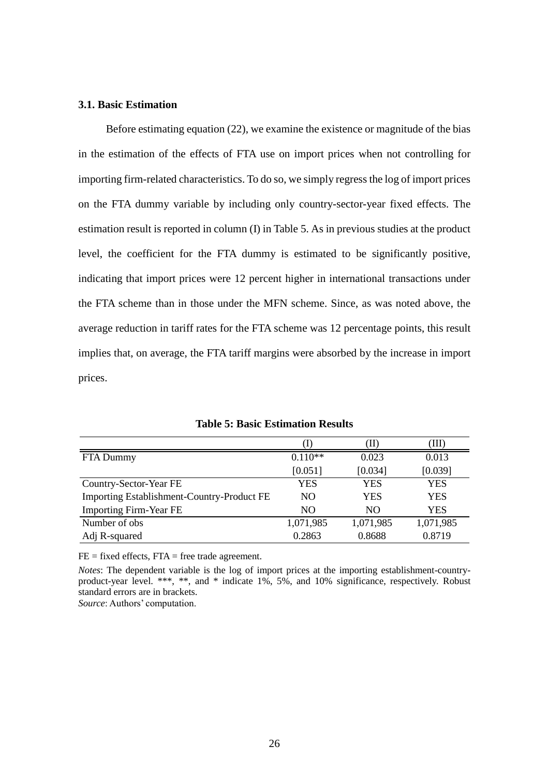#### **3.1. Basic Estimation**

Before estimating equation (22), we examine the existence or magnitude of the bias in the estimation of the effects of FTA use on import prices when not controlling for importing firm-related characteristics. To do so, we simply regress the log of import prices on the FTA dummy variable by including only country-sector-year fixed effects. The estimation result is reported in column (I) in Table 5. As in previous studies at the product level, the coefficient for the FTA dummy is estimated to be significantly positive, indicating that import prices were 12 percent higher in international transactions under the FTA scheme than in those under the MFN scheme. Since, as was noted above, the average reduction in tariff rates for the FTA scheme was 12 percentage points, this result implies that, on average, the FTA tariff margins were absorbed by the increase in import prices.

|                                                   |           | (II)      | (III)     |
|---------------------------------------------------|-----------|-----------|-----------|
| FTA Dummy                                         | $0.110**$ | 0.023     | 0.013     |
|                                                   | [0.051]   | [0.034]   | [0.039]   |
| Country-Sector-Year FE                            | YES       | YES       | YES       |
| <b>Importing Establishment-Country-Product FE</b> | NO.       | YES       | YES       |
| <b>Importing Firm-Year FE</b>                     | NO.       | NO.       | YES       |
| Number of obs                                     | 1,071,985 | 1,071,985 | 1,071,985 |
| Adj R-squared                                     | 0.2863    | 0.8688    | 0.8719    |

**Table 5: Basic Estimation Results**

 $FE = fixed effects, FTA = free trade agreement.$ 

*Notes*: The dependent variable is the log of import prices at the importing establishment-countryproduct-year level. \*\*\*, \*\*, and \* indicate 1%, 5%, and 10% significance, respectively. Robust standard errors are in brackets.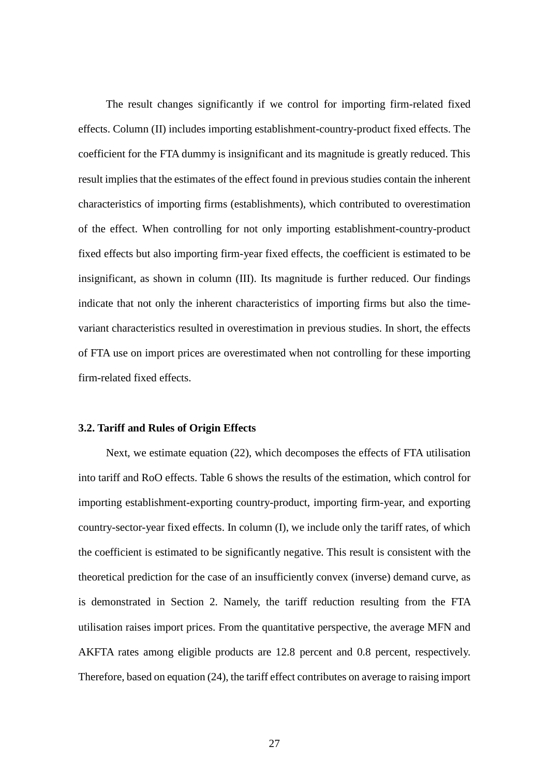The result changes significantly if we control for importing firm-related fixed effects. Column (II) includes importing establishment-country-product fixed effects. The coefficient for the FTA dummy is insignificant and its magnitude is greatly reduced. This result implies that the estimates of the effect found in previous studies contain the inherent characteristics of importing firms (establishments), which contributed to overestimation of the effect. When controlling for not only importing establishment-country-product fixed effects but also importing firm-year fixed effects, the coefficient is estimated to be insignificant, as shown in column (III). Its magnitude is further reduced. Our findings indicate that not only the inherent characteristics of importing firms but also the timevariant characteristics resulted in overestimation in previous studies. In short, the effects of FTA use on import prices are overestimated when not controlling for these importing firm-related fixed effects.

#### **3.2. Tariff and Rules of Origin Effects**

Next, we estimate equation (22), which decomposes the effects of FTA utilisation into tariff and RoO effects. Table 6 shows the results of the estimation, which control for importing establishment-exporting country-product, importing firm-year, and exporting country-sector-year fixed effects. In column (I), we include only the tariff rates, of which the coefficient is estimated to be significantly negative. This result is consistent with the theoretical prediction for the case of an insufficiently convex (inverse) demand curve, as is demonstrated in Section 2. Namely, the tariff reduction resulting from the FTA utilisation raises import prices. From the quantitative perspective, the average MFN and AKFTA rates among eligible products are 12.8 percent and 0.8 percent, respectively. Therefore, based on equation (24), the tariff effect contributes on average to raising import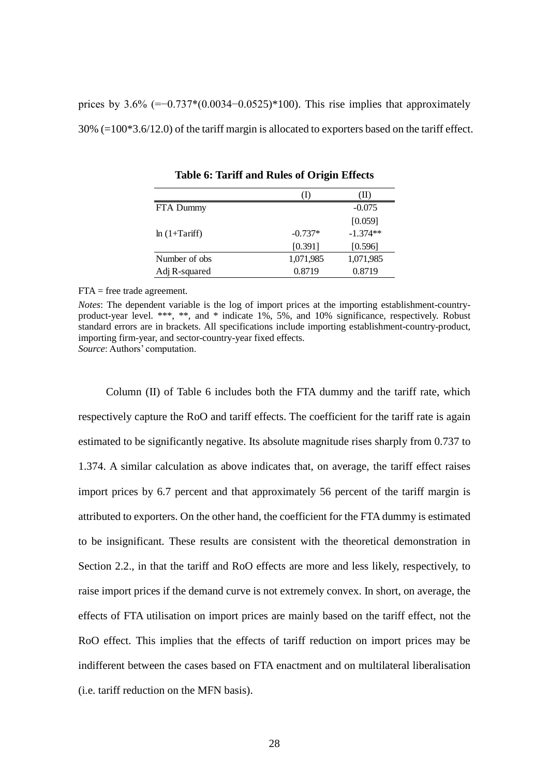prices by  $3.6\%$  (=−0.737\*(0.0034−0.0525)\*100). This rise implies that approximately 30% (=100\*3.6/12.0) of the tariff margin is allocated to exporters based on the tariff effect.

|                |           | w          |
|----------------|-----------|------------|
| FTA Dummy      |           | $-0.075$   |
|                |           | [0.059]    |
| $ln(1+Tariff)$ | $-0.737*$ | $-1.374**$ |
|                | [0.391]   | [0.596]    |
| Number of obs. | 1,071,985 | 1,071,985  |
| Adj R-squared  | 0.8719    | 0.8719     |

**Table 6: Tariff and Rules of Origin Effects**

FTA = free trade agreement.

*Notes*: The dependent variable is the log of import prices at the importing establishment-countryproduct-year level. \*\*\*, \*\*, and \* indicate 1%, 5%, and 10% significance, respectively. Robust standard errors are in brackets. All specifications include importing establishment-country-product, importing firm-year, and sector-country-year fixed effects. *Source*: Authors' computation.

Column (II) of Table 6 includes both the FTA dummy and the tariff rate, which respectively capture the RoO and tariff effects. The coefficient for the tariff rate is again estimated to be significantly negative. Its absolute magnitude rises sharply from 0.737 to 1.374. A similar calculation as above indicates that, on average, the tariff effect raises import prices by 6.7 percent and that approximately 56 percent of the tariff margin is attributed to exporters. On the other hand, the coefficient for the FTA dummy is estimated to be insignificant. These results are consistent with the theoretical demonstration in Section 2.2., in that the tariff and RoO effects are more and less likely, respectively, to raise import prices if the demand curve is not extremely convex. In short, on average, the effects of FTA utilisation on import prices are mainly based on the tariff effect, not the RoO effect. This implies that the effects of tariff reduction on import prices may be indifferent between the cases based on FTA enactment and on multilateral liberalisation (i.e. tariff reduction on the MFN basis).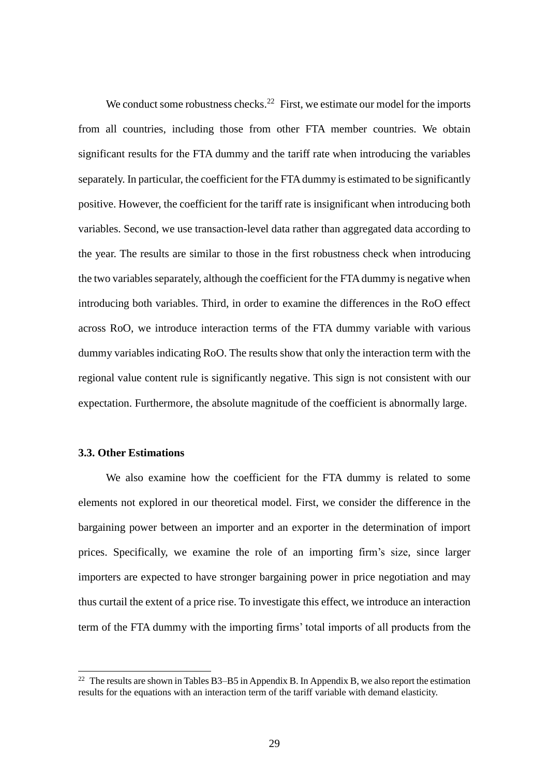We conduct some robustness checks.<sup>22</sup> First, we estimate our model for the imports from all countries, including those from other FTA member countries. We obtain significant results for the FTA dummy and the tariff rate when introducing the variables separately. In particular, the coefficient for the FTA dummy is estimated to be significantly positive. However, the coefficient for the tariff rate is insignificant when introducing both variables. Second, we use transaction-level data rather than aggregated data according to the year. The results are similar to those in the first robustness check when introducing the two variables separately, although the coefficient for the FTA dummy is negative when introducing both variables. Third, in order to examine the differences in the RoO effect across RoO, we introduce interaction terms of the FTA dummy variable with various dummy variables indicating RoO. The results show that only the interaction term with the regional value content rule is significantly negative. This sign is not consistent with our expectation. Furthermore, the absolute magnitude of the coefficient is abnormally large.

#### **3.3. Other Estimations**

 $\overline{a}$ 

We also examine how the coefficient for the FTA dummy is related to some elements not explored in our theoretical model. First, we consider the difference in the bargaining power between an importer and an exporter in the determination of import prices. Specifically, we examine the role of an importing firm's size, since larger importers are expected to have stronger bargaining power in price negotiation and may thus curtail the extent of a price rise. To investigate this effect, we introduce an interaction term of the FTA dummy with the importing firms' total imports of all products from the

<sup>&</sup>lt;sup>22</sup> The results are shown in Tables B3–B5 in Appendix B. In Appendix B, we also report the estimation results for the equations with an interaction term of the tariff variable with demand elasticity.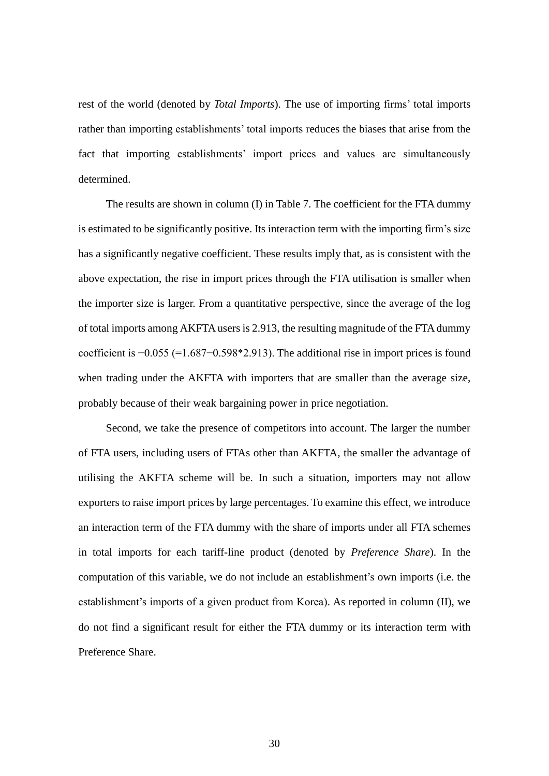rest of the world (denoted by *Total Imports*). The use of importing firms' total imports rather than importing establishments' total imports reduces the biases that arise from the fact that importing establishments' import prices and values are simultaneously determined.

The results are shown in column (I) in Table 7. The coefficient for the FTA dummy is estimated to be significantly positive. Its interaction term with the importing firm's size has a significantly negative coefficient. These results imply that, as is consistent with the above expectation, the rise in import prices through the FTA utilisation is smaller when the importer size is larger. From a quantitative perspective, since the average of the log of total imports among AKFTA users is 2.913, the resulting magnitude of the FTA dummy coefficient is −0.055 (=1.687−0.598\*2.913). The additional rise in import prices is found when trading under the AKFTA with importers that are smaller than the average size, probably because of their weak bargaining power in price negotiation.

Second, we take the presence of competitors into account. The larger the number of FTA users, including users of FTAs other than AKFTA, the smaller the advantage of utilising the AKFTA scheme will be. In such a situation, importers may not allow exporters to raise import prices by large percentages. To examine this effect, we introduce an interaction term of the FTA dummy with the share of imports under all FTA schemes in total imports for each tariff-line product (denoted by *Preference Share*). In the computation of this variable, we do not include an establishment's own imports (i.e. the establishment's imports of a given product from Korea). As reported in column (II), we do not find a significant result for either the FTA dummy or its interaction term with Preference Share.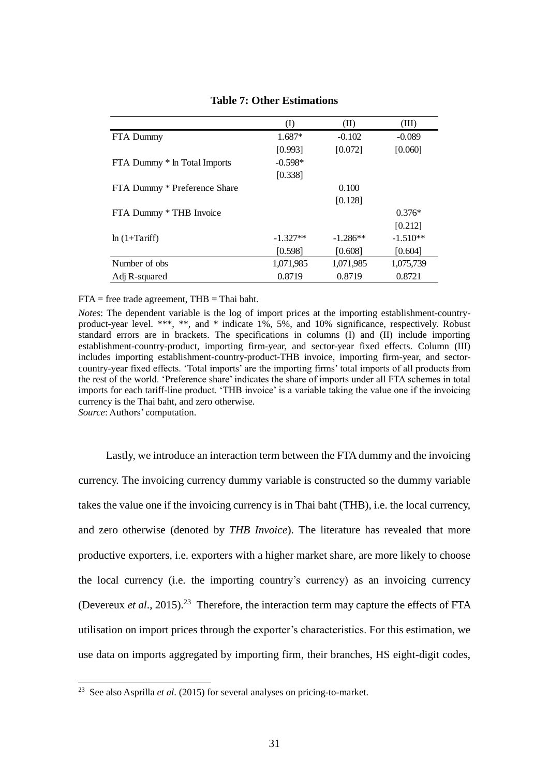|                              | (I)        | (II)       | (III)      |
|------------------------------|------------|------------|------------|
| FTA Dummy                    | $1.687*$   | $-0.102$   | $-0.089$   |
|                              | [0.993]    | [0.072]    | [0.060]    |
| FTA Dummy * In Total Imports | $-0.598*$  |            |            |
|                              | [0.338]    |            |            |
| FTA Dummy * Preference Share |            | 0.100      |            |
|                              |            | [0.128]    |            |
| FTA Dummy * THB Invoice      |            |            | $0.376*$   |
|                              |            |            | [0.212]    |
| $ln(1+Tariff)$               | $-1.327**$ | $-1.286**$ | $-1.510**$ |
|                              | [0.598]    | [0.608]    | [0.604]    |
| Number of obs.               | 1,071,985  | 1,071,985  | 1,075,739  |
| Adj R-squared                | 0.8719     | 0.8719     | 0.8721     |

#### **Table 7: Other Estimations**

#### $FTA = free trade agreement, THB = Thai bath.$

*Notes*: The dependent variable is the log of import prices at the importing establishment-countryproduct-year level. \*\*\*, \*\*, and \* indicate 1%, 5%, and 10% significance, respectively. Robust standard errors are in brackets. The specifications in columns (I) and (II) include importing establishment-country-product, importing firm-year, and sector-year fixed effects. Column (III) includes importing establishment-country-product-THB invoice, importing firm-year, and sectorcountry-year fixed effects. 'Total imports' are the importing firms' total imports of all products from the rest of the world. 'Preference share' indicates the share of imports under all FTA schemes in total imports for each tariff-line product. 'THB invoice' is a variable taking the value one if the invoicing currency is the Thai baht, and zero otherwise.

*Source*: Authors' computation.

 $\overline{a}$ 

Lastly, we introduce an interaction term between the FTA dummy and the invoicing currency. The invoicing currency dummy variable is constructed so the dummy variable takes the value one if the invoicing currency is in Thai baht (THB), i.e. the local currency, and zero otherwise (denoted by *THB Invoice*). The literature has revealed that more productive exporters, i.e. exporters with a higher market share, are more likely to choose the local currency (i.e. the importing country's currency) as an invoicing currency (Devereux *et al.*, 2015).<sup>23</sup> Therefore, the interaction term may capture the effects of FTA utilisation on import prices through the exporter's characteristics. For this estimation, we use data on imports aggregated by importing firm, their branches, HS eight-digit codes,

<sup>23</sup> See also Asprilla *et al*. (2015) for several analyses on pricing-to-market.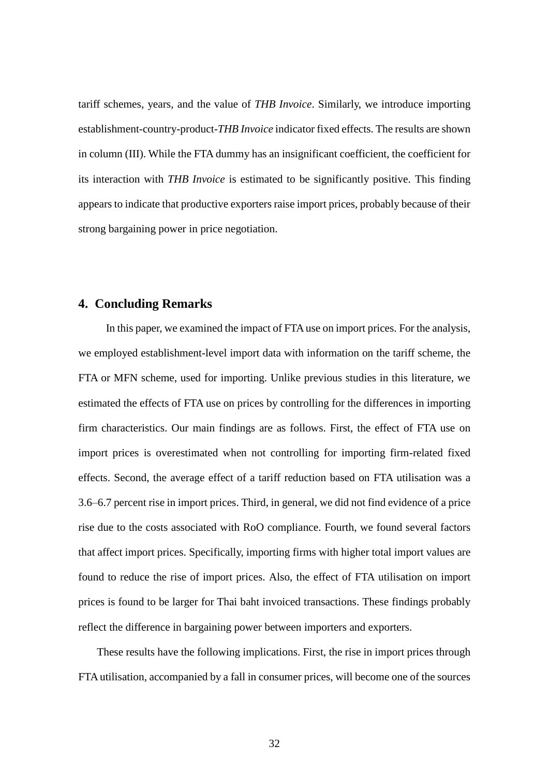tariff schemes, years, and the value of *THB Invoice*. Similarly, we introduce importing establishment-country-product-*THB Invoice* indicator fixed effects. The results are shown in column (III). While the FTA dummy has an insignificant coefficient, the coefficient for its interaction with *THB Invoice* is estimated to be significantly positive. This finding appears to indicate that productive exporters raise import prices, probably because of their strong bargaining power in price negotiation.

## **4. Concluding Remarks**

In this paper, we examined the impact of FTA use on import prices. For the analysis, we employed establishment-level import data with information on the tariff scheme, the FTA or MFN scheme, used for importing. Unlike previous studies in this literature, we estimated the effects of FTA use on prices by controlling for the differences in importing firm characteristics. Our main findings are as follows. First, the effect of FTA use on import prices is overestimated when not controlling for importing firm-related fixed effects. Second, the average effect of a tariff reduction based on FTA utilisation was a 3.6–6.7 percent rise in import prices. Third, in general, we did not find evidence of a price rise due to the costs associated with RoO compliance. Fourth, we found several factors that affect import prices. Specifically, importing firms with higher total import values are found to reduce the rise of import prices. Also, the effect of FTA utilisation on import prices is found to be larger for Thai baht invoiced transactions. These findings probably reflect the difference in bargaining power between importers and exporters.

These results have the following implications. First, the rise in import prices through FTA utilisation, accompanied by a fall in consumer prices, will become one of the sources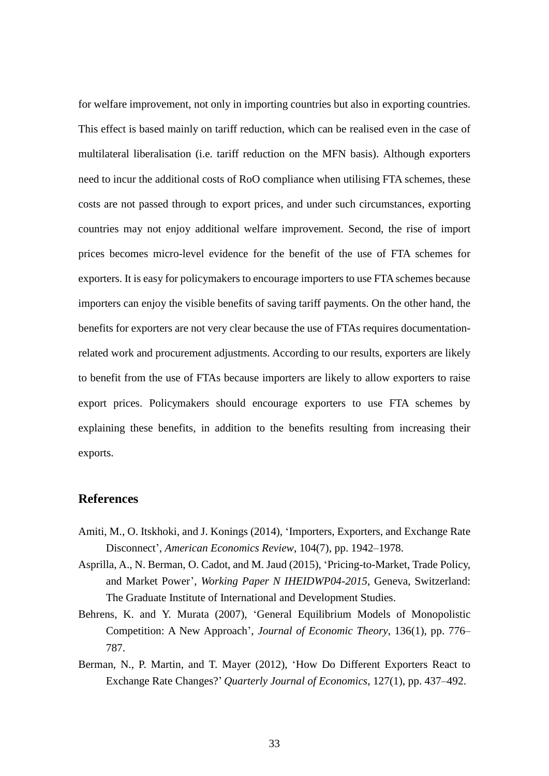for welfare improvement, not only in importing countries but also in exporting countries. This effect is based mainly on tariff reduction, which can be realised even in the case of multilateral liberalisation (i.e. tariff reduction on the MFN basis). Although exporters need to incur the additional costs of RoO compliance when utilising FTA schemes, these costs are not passed through to export prices, and under such circumstances, exporting countries may not enjoy additional welfare improvement. Second, the rise of import prices becomes micro-level evidence for the benefit of the use of FTA schemes for exporters. It is easy for policymakers to encourage importers to use FTA schemes because importers can enjoy the visible benefits of saving tariff payments. On the other hand, the benefits for exporters are not very clear because the use of FTAs requires documentationrelated work and procurement adjustments. According to our results, exporters are likely to benefit from the use of FTAs because importers are likely to allow exporters to raise export prices. Policymakers should encourage exporters to use FTA schemes by explaining these benefits, in addition to the benefits resulting from increasing their exports.

## **References**

- Amiti, M., O. Itskhoki, and J. Konings (2014), 'Importers, Exporters, and Exchange Rate Disconnect', *American Economics Review*, 104(7), pp. 1942–1978.
- Asprilla, A., N. Berman, O. Cadot, and M. Jaud (2015), 'Pricing-to-Market, Trade Policy, and Market Power', *Working Paper N IHEIDWP04-2015*, Geneva, Switzerland: The Graduate Institute of International and Development Studies.
- Behrens, K. and Y. Murata (2007), 'General Equilibrium Models of Monopolistic Competition: A New Approach', *Journal of Economic Theory*, 136(1), pp. 776– 787.
- Berman, N., P. Martin, and T. Mayer (2012), 'How Do Different Exporters React to Exchange Rate Changes?' *Quarterly Journal of Economics*, 127(1), pp. 437–492.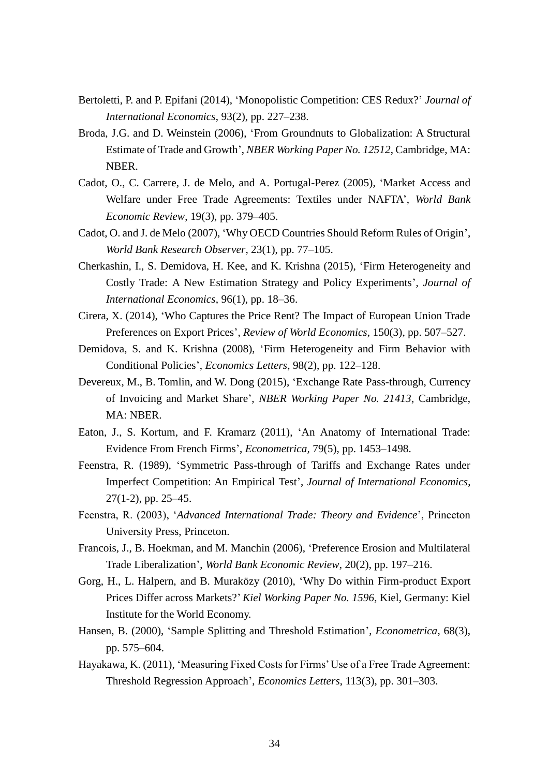- Bertoletti, P. and P. Epifani (2014), 'Monopolistic Competition: CES Redux?' *Journal of International Economics*, 93(2), pp. 227–238.
- Broda, J.G. and D. Weinstein (2006), 'From Groundnuts to Globalization: A Structural Estimate of Trade and Growth', *NBER Working Paper No. 12512*, Cambridge, MA: NBER.
- Cadot, O., C. Carrere, J. de Melo, and A. Portugal-Perez (2005), 'Market Access and Welfare under Free Trade Agreements: Textiles under NAFTA', *World Bank Economic Review*, 19(3), pp. 379–405.
- Cadot, O. and J. de Melo (2007), 'Why OECD Countries Should Reform Rules of Origin', *World Bank Research Observer*, 23(1), pp. 77–105.
- Cherkashin, I., S. Demidova, H. Kee, and K. Krishna (2015), 'Firm Heterogeneity and Costly Trade: A New Estimation Strategy and Policy Experiments', *Journal of International Economics*, 96(1), pp. 18–36.
- Cirera, X. (2014), 'Who Captures the Price Rent? The Impact of European Union Trade Preferences on Export Prices', *Review of World Economics*, 150(3), pp. 507–527.
- Demidova, S. and K. Krishna (2008), 'Firm Heterogeneity and Firm Behavior with Conditional Policies', *Economics Letters*, 98(2), pp. 122–128.
- Devereux, M., B. Tomlin, and W. Dong (2015), 'Exchange Rate Pass-through, Currency of Invoicing and Market Share', *NBER Working Paper No. 21413*, Cambridge, MA: NBER.
- Eaton, J., S. Kortum, and F. Kramarz (2011), 'An Anatomy of International Trade: Evidence From French Firms', *Econometrica,* 79(5), pp. 1453–1498.
- Feenstra, R. (1989), 'Symmetric Pass-through of Tariffs and Exchange Rates under Imperfect Competition: An Empirical Test', *Journal of International Economics*, 27(1-2), pp. 25–45.
- Feenstra, R. (2003), '*Advanced International Trade: Theory and Evidence*', Princeton University Press, Princeton.
- Francois, J., B. Hoekman, and M. Manchin (2006), 'Preference Erosion and Multilateral Trade Liberalization', *World Bank Economic Review*, 20(2), pp. 197–216.
- Gorg, H., L. Halpern, and B. Muraközy (2010), 'Why Do within Firm-product Export Prices Differ across Markets?' *Kiel Working Paper No. 1596*, Kiel, Germany: Kiel Institute for the World Economy.
- Hansen, B. (2000), 'Sample Splitting and Threshold Estimation', *Econometrica*, 68(3), pp. 575–604.
- Hayakawa, K. (2011), 'Measuring Fixed Costs for Firms' Use of a Free Trade Agreement: Threshold Regression Approach', *Economics Letters*, 113(3), pp. 301–303.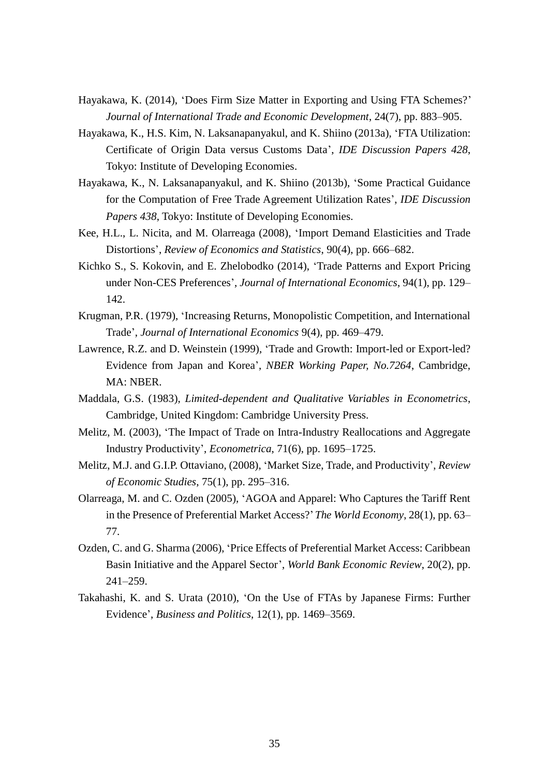- Hayakawa, K. (2014), 'Does Firm Size Matter in Exporting and Using FTA Schemes?' *Journal of International Trade and Economic Development*, 24(7), pp. 883–905.
- Hayakawa, K., H.S. Kim, N. Laksanapanyakul, and K. Shiino (2013a), 'FTA Utilization: Certificate of Origin Data versus Customs Data', *IDE Discussion Papers 428*, Tokyo: Institute of Developing Economies.
- Hayakawa, K., N. Laksanapanyakul, and K. Shiino (2013b), 'Some Practical Guidance for the Computation of Free Trade Agreement Utilization Rates', *IDE Discussion Papers 438*, Tokyo: Institute of Developing Economies.
- Kee, H.L., L. Nicita, and M. Olarreaga (2008), 'Import Demand Elasticities and Trade Distortions', *Review of Economics and Statistics*, 90(4), pp. 666–682.
- Kichko S., S. Kokovin, and E. Zhelobodko (2014), 'Trade Patterns and Export Pricing under Non-CES Preferences', *Journal of International Economics*, 94(1), pp. 129– 142.
- Krugman, P.R. (1979), 'Increasing Returns, Monopolistic Competition, and International Trade', *Journal of International Economics* 9(4), pp. 469–479.
- Lawrence, R.Z. and D. Weinstein (1999), 'Trade and Growth: Import-led or Export-led? Evidence from Japan and Korea', *NBER Working Paper, No.7264*, Cambridge, MA: NBER.
- Maddala, G.S. (1983), *Limited-dependent and Qualitative Variables in Econometrics*, Cambridge, United Kingdom: Cambridge University Press.
- Melitz, M. (2003), 'The Impact of Trade on Intra-Industry Reallocations and Aggregate Industry Productivity', *Econometrica*, 71(6), pp. 1695–1725.
- Melitz, M.J. and G.I.P. Ottaviano, (2008), 'Market Size, Trade, and Productivity', *Review of Economic Studies*, 75(1), pp. 295–316.
- Olarreaga, M. and C. Ozden (2005), 'AGOA and Apparel: Who Captures the Tariff Rent in the Presence of Preferential Market Access?'*The World Economy*, 28(1), pp. 63– 77.
- Ozden, C. and G. Sharma (2006), 'Price Effects of Preferential Market Access: Caribbean Basin Initiative and the Apparel Sector', *World Bank Economic Review*, 20(2), pp. 241–259.
- Takahashi, K. and S. Urata (2010), 'On the Use of FTAs by Japanese Firms: Further Evidence', *Business and Politics*, 12(1), pp. 1469–3569.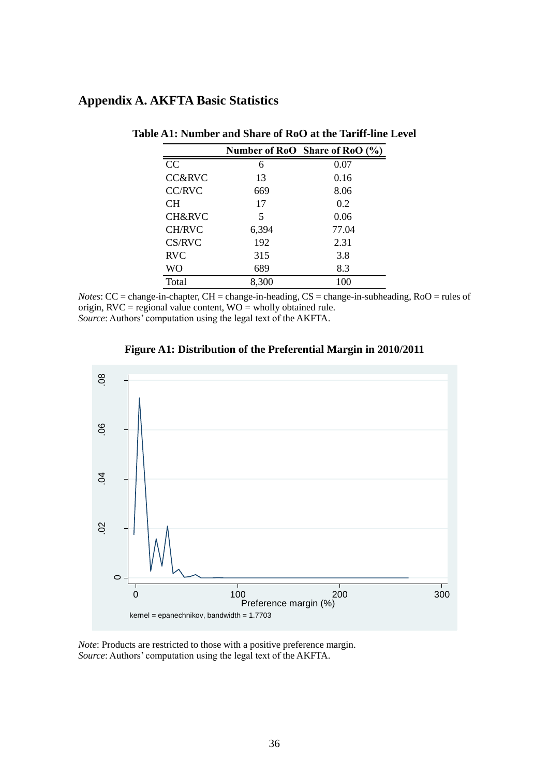# **Appendix A. AKFTA Basic Statistics**

|                   |       | Number of RoO Share of RoO $(\%$ ) |
|-------------------|-------|------------------------------------|
| CC                | 6     | 0.07                               |
| <b>CC&amp;RVC</b> | 13    | 0.16                               |
| <b>CC/RVC</b>     | 669   | 8.06                               |
| <b>CH</b>         | 17    | 0.2                                |
| CH&RVC            | 5     | 0.06                               |
| <b>CH/RVC</b>     | 6,394 | 77.04                              |
| CS/RVC            | 192   | 2.31                               |
| <b>RVC</b>        | 315   | 3.8                                |
| WO                | 689   | 8.3                                |
| Total             | 8,300 | 100                                |

#### **Table A1: Number and Share of RoO at the Tariff-line Level**

*Notes*: CC = change-in-chapter, CH = change-in-heading, CS = change-in-subheading, RoO = rules of origin,  $RVC =$  regional value content,  $WO =$  wholly obtained rule. *Source*: Authors' computation using the legal text of the AKFTA.



#### **Figure A1: Distribution of the Preferential Margin in 2010/2011**

*Note*: Products are restricted to those with a positive preference margin. *Source*: Authors' computation using the legal text of the AKFTA.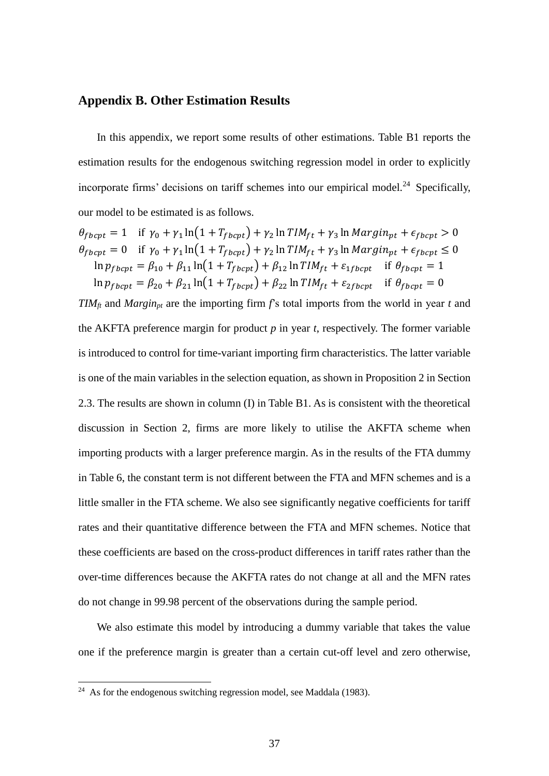## **Appendix B. Other Estimation Results**

In this appendix, we report some results of other estimations. Table B1 reports the estimation results for the endogenous switching regression model in order to explicitly incorporate firms' decisions on tariff schemes into our empirical model.<sup>24</sup> Specifically, our model to be estimated is as follows.

$$
\theta_{fbcpt} = 1 \quad \text{if } \gamma_0 + \gamma_1 \ln(1 + T_{fbcpt}) + \gamma_2 \ln TIM_{ft} + \gamma_3 \ln Margin_{pt} + \epsilon_{fbcpt} > 0
$$
\n
$$
\theta_{fbcpt} = 0 \quad \text{if } \gamma_0 + \gamma_1 \ln(1 + T_{fbcpt}) + \gamma_2 \ln TIM_{ft} + \gamma_3 \ln Margin_{pt} + \epsilon_{fbcpt} \le 0
$$
\n
$$
\ln p_{fbcpt} = \beta_{10} + \beta_{11} \ln(1 + T_{fbcpt}) + \beta_{12} \ln TIM_{ft} + \epsilon_{1fbcpt} \quad \text{if } \theta_{fbcpt} = 1
$$
\n
$$
\ln p_{fbcpt} = \beta_{20} + \beta_{21} \ln(1 + T_{fbcpt}) + \beta_{22} \ln TIM_{ft} + \epsilon_{2fbcpt} \quad \text{if } \theta_{fbcpt} = 0
$$

*TIMft* and *Marginpt* are the importing firm *f*'s total imports from the world in year *t* and the AKFTA preference margin for product *p* in year *t*, respectively. The former variable is introduced to control for time-variant importing firm characteristics. The latter variable is one of the main variables in the selection equation, as shown in Proposition 2 in Section 2.3. The results are shown in column (I) in Table B1. As is consistent with the theoretical discussion in Section 2, firms are more likely to utilise the AKFTA scheme when importing products with a larger preference margin. As in the results of the FTA dummy in Table 6, the constant term is not different between the FTA and MFN schemes and is a little smaller in the FTA scheme. We also see significantly negative coefficients for tariff rates and their quantitative difference between the FTA and MFN schemes. Notice that these coefficients are based on the cross-product differences in tariff rates rather than the over-time differences because the AKFTA rates do not change at all and the MFN rates do not change in 99.98 percent of the observations during the sample period.

We also estimate this model by introducing a dummy variable that takes the value one if the preference margin is greater than a certain cut-off level and zero otherwise,

 $\overline{a}$ 

<sup>&</sup>lt;sup>24</sup> As for the endogenous switching regression model, see Maddala (1983).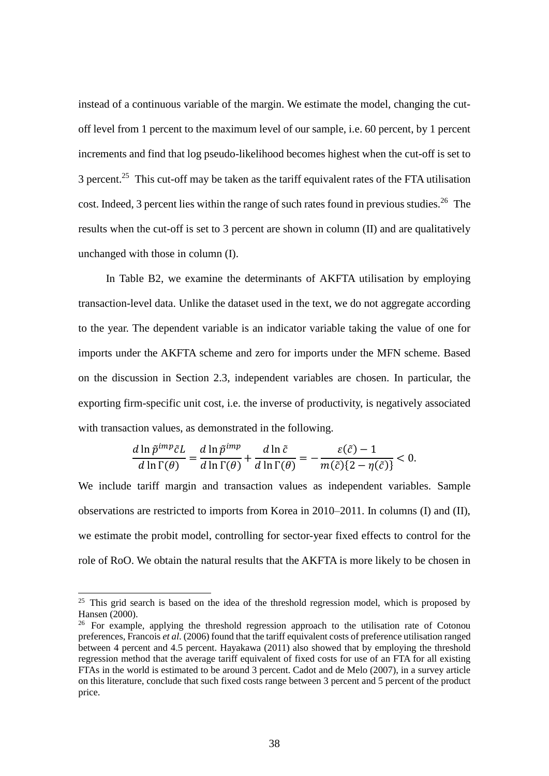instead of a continuous variable of the margin. We estimate the model, changing the cutoff level from 1 percent to the maximum level of our sample, i.e. 60 percent, by 1 percent increments and find that log pseudo-likelihood becomes highest when the cut-off is set to 3 percent.<sup>25</sup> This cut-off may be taken as the tariff equivalent rates of the FTA utilisation cost. Indeed, 3 percent lies within the range of such rates found in previous studies.<sup>26</sup> The results when the cut-off is set to 3 percent are shown in column (II) and are qualitatively unchanged with those in column (I).

In Table B2, we examine the determinants of AKFTA utilisation by employing transaction-level data. Unlike the dataset used in the text, we do not aggregate according to the year. The dependent variable is an indicator variable taking the value of one for imports under the AKFTA scheme and zero for imports under the MFN scheme. Based on the discussion in Section 2.3, independent variables are chosen. In particular, the exporting firm-specific unit cost, i.e. the inverse of productivity, is negatively associated with transaction values, as demonstrated in the following.

$$
\frac{d \ln \tilde{p}^{imp}\tilde{c}L}{d \ln \Gamma(\theta)} = \frac{d \ln \tilde{p}^{imp}}{d \ln \Gamma(\theta)} + \frac{d \ln \tilde{c}}{d \ln \Gamma(\theta)} = -\frac{\varepsilon(\tilde{c}) - 1}{m(\tilde{c})\{2 - \eta(\tilde{c})\}} < 0.
$$

We include tariff margin and transaction values as independent variables. Sample observations are restricted to imports from Korea in 2010–2011. In columns (I) and (II), we estimate the probit model, controlling for sector-year fixed effects to control for the role of RoO. We obtain the natural results that the AKFTA is more likely to be chosen in

 $25$  This grid search is based on the idea of the threshold regression model, which is proposed by Hansen (2000).

<sup>&</sup>lt;sup>26</sup> For example, applying the threshold regression approach to the utilisation rate of Cotonou preferences, Francois *et al*. (2006) found that the tariff equivalent costs of preference utilisation ranged between 4 percent and 4.5 percent. Hayakawa (2011) also showed that by employing the threshold regression method that the average tariff equivalent of fixed costs for use of an FTA for all existing FTAs in the world is estimated to be around 3 percent. Cadot and de Melo (2007), in a survey article on this literature, conclude that such fixed costs range between 3 percent and 5 percent of the product price.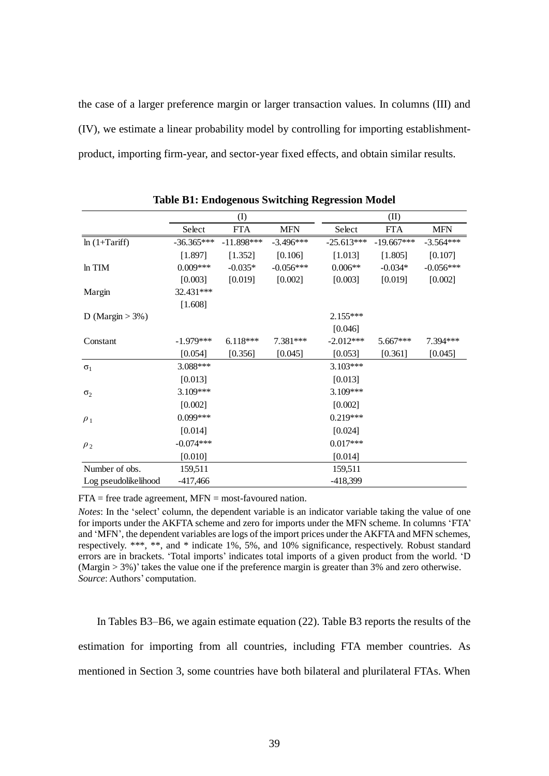the case of a larger preference margin or larger transaction values. In columns (III) and (IV), we estimate a linear probability model by controlling for importing establishmentproduct, importing firm-year, and sector-year fixed effects, and obtain similar results.

|                      | (I)          |              |             | (II)         |              |             |
|----------------------|--------------|--------------|-------------|--------------|--------------|-------------|
|                      | Select       | <b>FTA</b>   | <b>MFN</b>  | Select       | <b>FTA</b>   | <b>MFN</b>  |
| $ln(1+Tariff)$       | $-36.365***$ | $-11.898***$ | $-3.496***$ | $-25.613***$ | $-19.667***$ | $-3.564***$ |
|                      | [1.897]      | [1.352]      | [0.106]     | [1.013]      | [1.805]      | [0.107]     |
| ln TIM               | $0.009***$   | $-0.035*$    | $-0.056***$ | $0.006**$    | $-0.034*$    | $-0.056***$ |
|                      | [0.003]      | [0.019]      | [0.002]     | [0.003]      | [0.019]      | [0.002]     |
| Margin               | 32.431***    |              |             |              |              |             |
|                      | [1.608]      |              |             |              |              |             |
| D (Margin $> 3\%$ )  |              |              |             | 2.155***     |              |             |
|                      |              |              |             | [0.046]      |              |             |
| Constant             | $-1.979***$  | $6.118***$   | 7.381***    | $-2.012***$  | $5.667***$   | 7.394***    |
|                      | [0.054]      | [0.356]      | [0.045]     | [0.053]      | [0.361]      | [0.045]     |
| $\sigma_1$           | 3.088***     |              |             | $3.103***$   |              |             |
|                      | [0.013]      |              |             | [0.013]      |              |             |
| $\sigma_2$           | 3.109***     |              |             | 3.109***     |              |             |
|                      | [0.002]      |              |             | [0.002]      |              |             |
| $\rho_1$             | $0.099***$   |              |             | $0.219***$   |              |             |
|                      | [0.014]      |              |             | [0.024]      |              |             |
| $\rho_2$             | $-0.074***$  |              |             | $0.017***$   |              |             |
|                      | [0.010]      |              |             | [0.014]      |              |             |
| Number of obs.       | 159,511      |              |             | 159,511      |              |             |
| Log pseudolikelihood | $-417,466$   |              |             | -418,399     |              |             |

**Table B1: Endogenous Switching Regression Model**

 $FTA = free trade agreement, MFN = most-favoured nation.$ 

*Notes*: In the 'select' column, the dependent variable is an indicator variable taking the value of one for imports under the AKFTA scheme and zero for imports under the MFN scheme. In columns 'FTA' and 'MFN', the dependent variables are logs of the import prices under the AKFTA and MFN schemes, respectively. \*\*\*, \*\*, and \* indicate 1%, 5%, and 10% significance, respectively. Robust standard errors are in brackets. 'Total imports' indicates total imports of a given product from the world. 'D (Margin > 3%)' takes the value one if the preference margin is greater than 3% and zero otherwise. *Source*: Authors' computation.

In Tables B3–B6, we again estimate equation (22). Table B3 reports the results of the estimation for importing from all countries, including FTA member countries. As mentioned in Section 3, some countries have both bilateral and plurilateral FTAs. When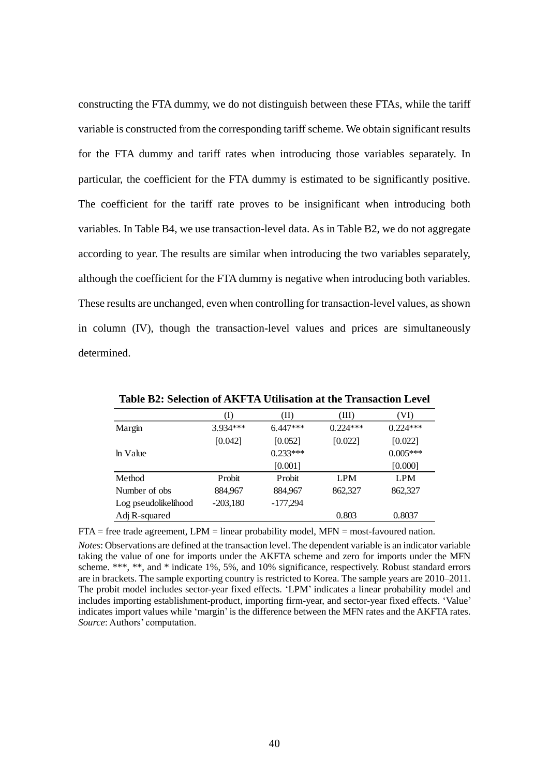constructing the FTA dummy, we do not distinguish between these FTAs, while the tariff variable is constructed from the corresponding tariff scheme. We obtain significant results for the FTA dummy and tariff rates when introducing those variables separately. In particular, the coefficient for the FTA dummy is estimated to be significantly positive. The coefficient for the tariff rate proves to be insignificant when introducing both variables. In Table B4, we use transaction-level data. As in Table B2, we do not aggregate according to year. The results are similar when introducing the two variables separately, although the coefficient for the FTA dummy is negative when introducing both variables. These results are unchanged, even when controlling for transaction-level values, as shown in column (IV), though the transaction-level values and prices are simultaneously determined.

|                      | (I)        | (II)       | (III)      | (VI)       |
|----------------------|------------|------------|------------|------------|
| Margin               | 3.934***   | $6.447***$ | $0.224***$ | $0.224***$ |
|                      | [0.042]    | [0.052]    | [0.022]    | [0.022]    |
| ln Value             |            | $0.233***$ |            | $0.005***$ |
|                      |            | [0.001]    |            | [0.000]    |
| Method               | Probit     | Probit     | <b>LPM</b> | <b>LPM</b> |
| Number of obs.       | 884,967    | 884,967    | 862,327    | 862,327    |
| Log pseudolikelihood | $-203,180$ | $-177,294$ |            |            |
| Adj R-squared        |            |            | 0.803      | 0.8037     |

**Table B2: Selection of AKFTA Utilisation at the Transaction Level**

 $FTA = free trade agreement, LPM = linear probability model, MFN = most-favoured nation.$ 

*Notes*: Observations are defined at the transaction level. The dependent variable is an indicator variable taking the value of one for imports under the AKFTA scheme and zero for imports under the MFN scheme. \*\*\*, \*\*, and \* indicate 1%, 5%, and 10% significance, respectively. Robust standard errors are in brackets. The sample exporting country is restricted to Korea. The sample years are 2010–2011. The probit model includes sector-year fixed effects. 'LPM' indicates a linear probability model and includes importing establishment-product, importing firm-year, and sector-year fixed effects. 'Value' indicates import values while 'margin' is the difference between the MFN rates and the AKFTA rates. *Source*: Authors' computation.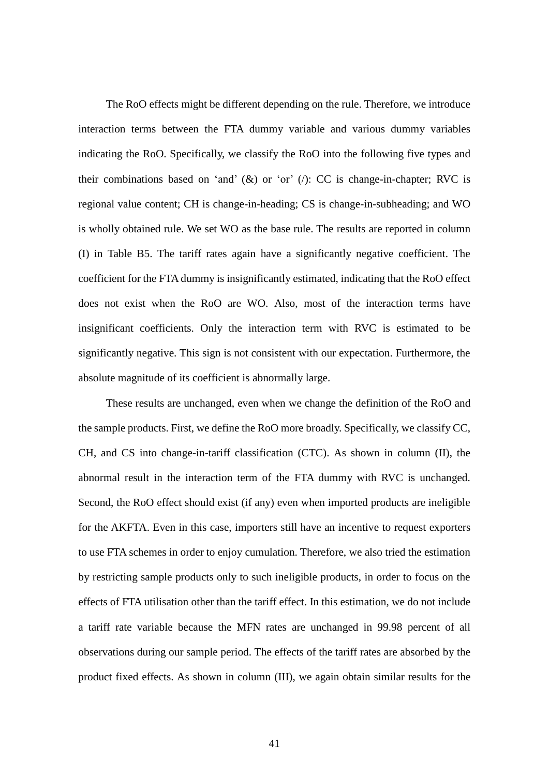The RoO effects might be different depending on the rule. Therefore, we introduce interaction terms between the FTA dummy variable and various dummy variables indicating the RoO. Specifically, we classify the RoO into the following five types and their combinations based on 'and'  $(\&)$  or 'or' (*i*): CC is change-in-chapter; RVC is regional value content; CH is change-in-heading; CS is change-in-subheading; and WO is wholly obtained rule. We set WO as the base rule. The results are reported in column (I) in Table B5. The tariff rates again have a significantly negative coefficient. The coefficient for the FTA dummy is insignificantly estimated, indicating that the RoO effect does not exist when the RoO are WO. Also, most of the interaction terms have insignificant coefficients. Only the interaction term with RVC is estimated to be significantly negative. This sign is not consistent with our expectation. Furthermore, the absolute magnitude of its coefficient is abnormally large.

These results are unchanged, even when we change the definition of the RoO and the sample products. First, we define the RoO more broadly. Specifically, we classify CC, CH, and CS into change-in-tariff classification (CTC). As shown in column (II), the abnormal result in the interaction term of the FTA dummy with RVC is unchanged. Second, the RoO effect should exist (if any) even when imported products are ineligible for the AKFTA. Even in this case, importers still have an incentive to request exporters to use FTA schemes in order to enjoy cumulation. Therefore, we also tried the estimation by restricting sample products only to such ineligible products, in order to focus on the effects of FTA utilisation other than the tariff effect. In this estimation, we do not include a tariff rate variable because the MFN rates are unchanged in 99.98 percent of all observations during our sample period. The effects of the tariff rates are absorbed by the product fixed effects. As shown in column (III), we again obtain similar results for the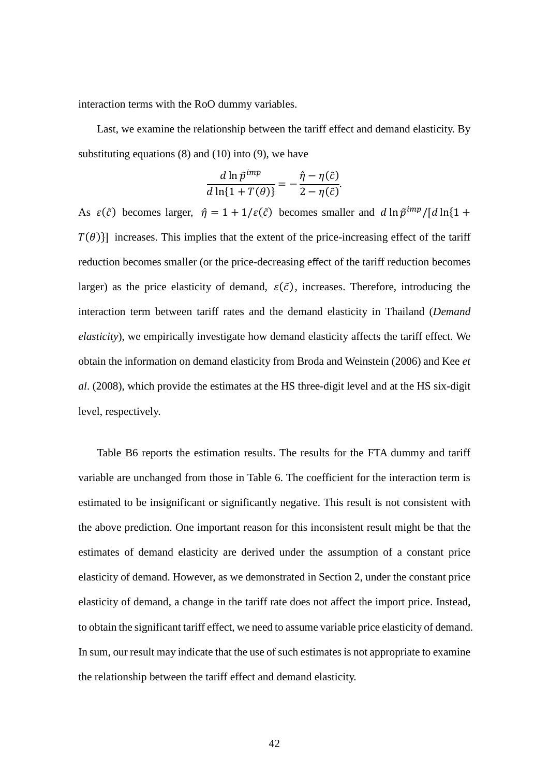interaction terms with the RoO dummy variables.

Last, we examine the relationship between the tariff effect and demand elasticity. By substituting equations  $(8)$  and  $(10)$  into  $(9)$ , we have

$$
\frac{d \ln \tilde{p}^{imp}}{d \ln \{1 + T(\theta)\}} = -\frac{\hat{\eta} - \eta(\tilde{c})}{2 - \eta(\tilde{c})}.
$$

As  $\varepsilon(\tilde{c})$  becomes larger,  $\hat{\eta} = 1 + 1/\varepsilon(\tilde{c})$  becomes smaller and  $d \ln \tilde{p}^{imp}/[d \ln(1 +$  $T(\theta)$ ] increases. This implies that the extent of the price-increasing effect of the tariff reduction becomes smaller (or the price-decreasing effect of the tariff reduction becomes larger) as the price elasticity of demand,  $\varepsilon(\tilde{c})$ , increases. Therefore, introducing the interaction term between tariff rates and the demand elasticity in Thailand (*Demand elasticity*), we empirically investigate how demand elasticity affects the tariff effect. We obtain the information on demand elasticity from Broda and Weinstein (2006) and Kee *et al*. (2008), which provide the estimates at the HS three-digit level and at the HS six-digit level, respectively.

Table B6 reports the estimation results. The results for the FTA dummy and tariff variable are unchanged from those in Table 6. The coefficient for the interaction term is estimated to be insignificant or significantly negative. This result is not consistent with the above prediction. One important reason for this inconsistent result might be that the estimates of demand elasticity are derived under the assumption of a constant price elasticity of demand. However, as we demonstrated in Section 2, under the constant price elasticity of demand, a change in the tariff rate does not affect the import price. Instead, to obtain the significant tariff effect, we need to assume variable price elasticity of demand. In sum, our result may indicate that the use of such estimates is not appropriate to examine the relationship between the tariff effect and demand elasticity.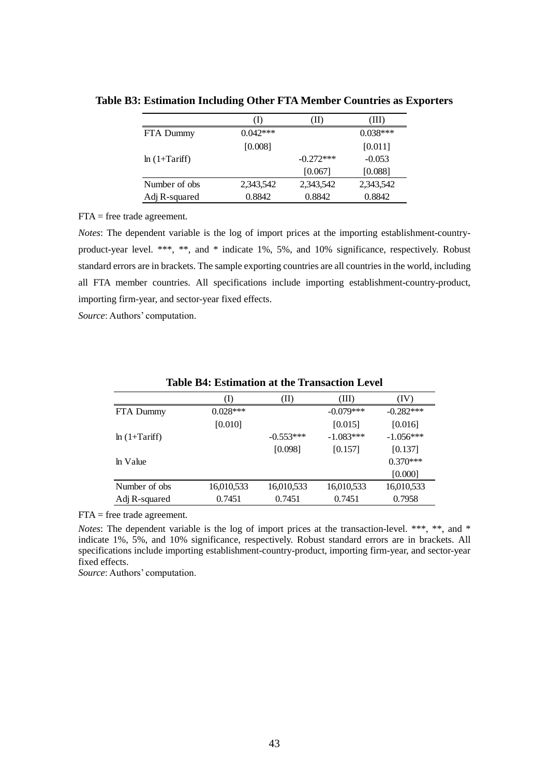|                | T)         | Ш           | (III)      |
|----------------|------------|-------------|------------|
| FTA Dummy      | $0.042***$ |             | $0.038***$ |
|                | [0.008]    |             | [0.011]    |
| $ln(1+Tariff)$ |            | $-0.272***$ | $-0.053$   |
|                |            | [0.067]     | [0.088]    |
| Number of obs  | 2,343,542  | 2,343,542   | 2,343,542  |
| Adj R-squared  | 0.8842     | 0.8842      | 0.8842     |

**Table B3: Estimation Including Other FTA Member Countries as Exporters**

FTA = free trade agreement.

*Notes*: The dependent variable is the log of import prices at the importing establishment-countryproduct-year level. \*\*\*, \*\*, and \* indicate 1%, 5%, and 10% significance, respectively. Robust standard errors are in brackets. The sample exporting countries are all countries in the world, including all FTA member countries. All specifications include importing establishment-country-product, importing firm-year, and sector-year fixed effects.

*Source*: Authors' computation.

|                | 1)         | (II)        | (III)       | (IV)        |
|----------------|------------|-------------|-------------|-------------|
| FTA Dummy      | $0.028***$ |             | $-0.079***$ | $-0.282***$ |
|                | $[0.010]$  |             | [0.015]     | [0.016]     |
| $ln(1+Tariff)$ |            | $-0.553***$ | $-1.083***$ | $-1.056***$ |
|                |            | [0.098]     | [0.157]     | [0.137]     |
| ln Value       |            |             |             | $0.370***$  |
|                |            |             |             | [0.000]     |
| Number of obs  | 16,010,533 | 16,010,533  | 16,010,533  | 16,010,533  |
| Adj R-squared  | 0.7451     | 0.7451      | 0.7451      | 0.7958      |
|                |            |             |             |             |

**Table B4: Estimation at the Transaction Level**

FTA = free trade agreement.

*Notes*: The dependent variable is the log of import prices at the transaction-level. \*\*\*, \*\*, and \* indicate 1%, 5%, and 10% significance, respectively. Robust standard errors are in brackets. All specifications include importing establishment-country-product, importing firm-year, and sector-year fixed effects.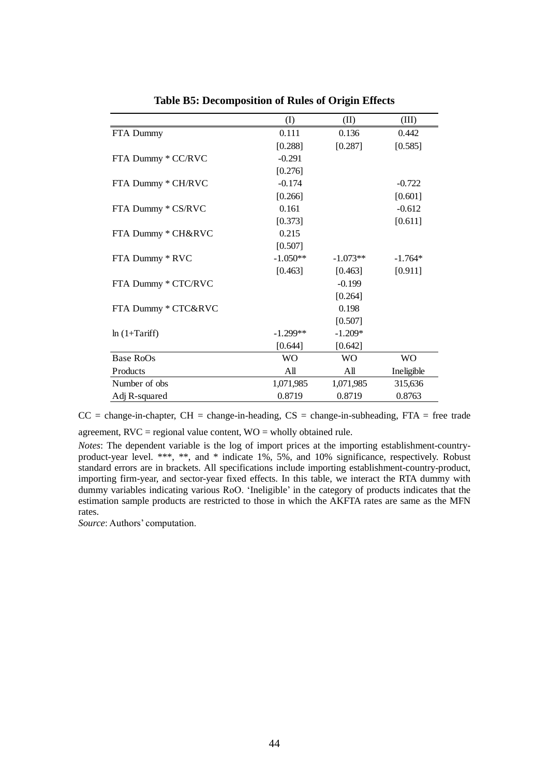|                     | (I)        | (II)       | (III)      |
|---------------------|------------|------------|------------|
| FTA Dummy           | 0.111      | 0.136      | 0.442      |
|                     | [0.288]    | [0.287]    | [0.585]    |
| FTA Dummy * CC/RVC  | $-0.291$   |            |            |
|                     | [0.276]    |            |            |
| FTA Dummy * CH/RVC  | $-0.174$   |            | $-0.722$   |
|                     | [0.266]    |            | [0.601]    |
| FTA Dummy * CS/RVC  | 0.161      |            | $-0.612$   |
|                     | [0.373]    |            | [0.611]    |
| FTA Dummy * CH&RVC  | 0.215      |            |            |
|                     | [0.507]    |            |            |
| FTA Dummy * RVC     | $-1.050**$ | $-1.073**$ | $-1.764*$  |
|                     | [0.463]    | [0.463]    | [0.911]    |
| FTA Dummy * CTC/RVC |            | $-0.199$   |            |
|                     |            | [0.264]    |            |
| FTA Dummy * CTC&RVC |            | 0.198      |            |
|                     |            | [0.507]    |            |
| $ln(1+Tariff)$      | $-1.299**$ | $-1.209*$  |            |
|                     | [0.644]    | [0.642]    |            |
| Base RoOs           | <b>WO</b>  | <b>WO</b>  | <b>WO</b>  |
| Products            | All        | All        | Ineligible |
| Number of obs       | 1,071,985  | 1,071,985  | 315,636    |
| Adj R-squared       | 0.8719     | 0.8719     | 0.8763     |

**Table B5: Decomposition of Rules of Origin Effects**

 $CC = change-in-chapper$ ,  $CH = change-in-heading$ ,  $CS = change-in-subheading$ ,  $FTA = free trade$ agreement,  $RVC =$  regional value content,  $WO =$  wholly obtained rule.

*Notes*: The dependent variable is the log of import prices at the importing establishment-countryproduct-year level. \*\*\*, \*\*, and \* indicate 1%, 5%, and 10% significance, respectively. Robust standard errors are in brackets. All specifications include importing establishment-country-product, importing firm-year, and sector-year fixed effects. In this table, we interact the RTA dummy with dummy variables indicating various RoO. 'Ineligible' in the category of products indicates that the estimation sample products are restricted to those in which the AKFTA rates are same as the MFN rates.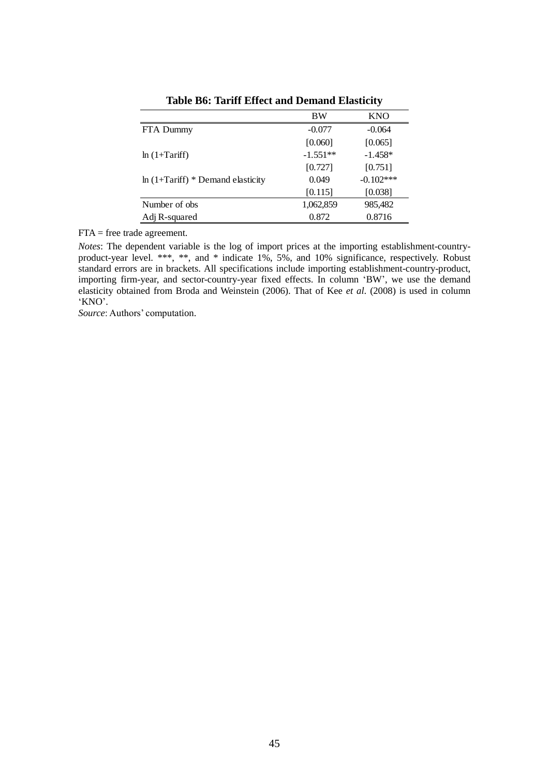|                                    | <b>BW</b>  | <b>KNO</b>  |
|------------------------------------|------------|-------------|
| FTA Dummy                          | $-0.077$   | $-0.064$    |
|                                    | [0.060]    | [0.065]     |
| $ln(1+Tariff)$                     | $-1.551**$ | $-1.458*$   |
|                                    | [0.727]    | [0.751]     |
| $ln(1+Tariff) * Demand elasticity$ | 0.049      | $-0.102***$ |
|                                    | [0.115]    | [0.038]     |
| Number of obs.                     | 1,062,859  | 985,482     |
| Adj R-squared                      | 0.872      | 0.8716      |

**Table B6: Tariff Effect and Demand Elasticity**

FTA = free trade agreement.

*Notes*: The dependent variable is the log of import prices at the importing establishment-countryproduct-year level. \*\*\*, \*\*, and \* indicate 1%, 5%, and 10% significance, respectively. Robust standard errors are in brackets. All specifications include importing establishment-country-product, importing firm-year, and sector-country-year fixed effects. In column 'BW', we use the demand elasticity obtained from Broda and Weinstein (2006). That of Kee *et al*. (2008) is used in column 'KNO'.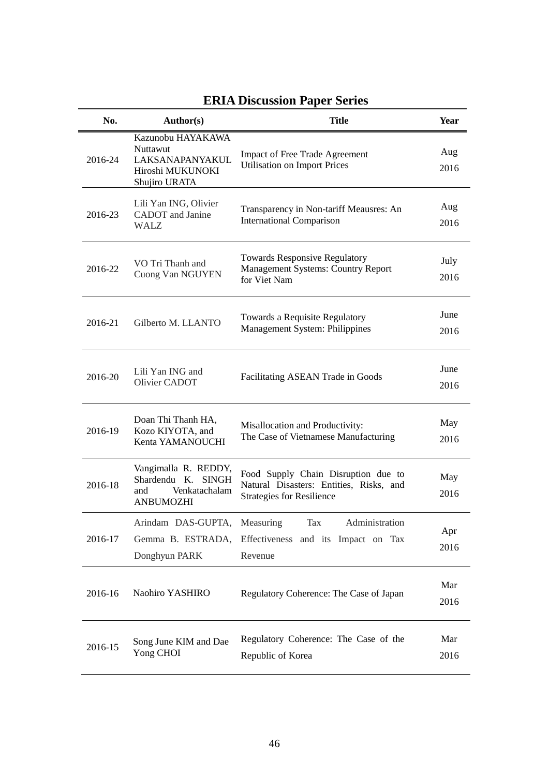| No.     | Author(s)                                                                              | <b>Title</b>                                                                                                       | Year         |
|---------|----------------------------------------------------------------------------------------|--------------------------------------------------------------------------------------------------------------------|--------------|
| 2016-24 | Kazunobu HAYAKAWA<br>Nuttawut<br>LAKSANAPANYAKUL<br>Hiroshi MUKUNOKI<br>Shujiro URATA  | <b>Impact of Free Trade Agreement</b><br><b>Utilisation on Import Prices</b>                                       | Aug<br>2016  |
| 2016-23 | Lili Yan ING, Olivier<br>CADOT and Janine<br><b>WALZ</b>                               | Transparency in Non-tariff Meausres: An<br><b>International Comparison</b>                                         | Aug<br>2016  |
| 2016-22 | VO Tri Thanh and<br>Cuong Van NGUYEN                                                   | <b>Towards Responsive Regulatory</b><br><b>Management Systems: Country Report</b><br>for Viet Nam                  | July<br>2016 |
| 2016-21 | Gilberto M. LLANTO                                                                     | Towards a Requisite Regulatory<br>Management System: Philippines                                                   | June<br>2016 |
| 2016-20 | Lili Yan ING and<br>Olivier CADOT                                                      | Facilitating ASEAN Trade in Goods                                                                                  | June<br>2016 |
| 2016-19 | Doan Thi Thanh HA,<br>Kozo KIYOTA, and<br>Kenta YAMANOUCHI                             | Misallocation and Productivity:<br>The Case of Vietnamese Manufacturing                                            | May<br>2016  |
| 2016-18 | Vangimalla R. REDDY,<br>Shardendu K. SINGH<br>Venkatachalam<br>and<br><b>ANBUMOZHI</b> | Food Supply Chain Disruption due to<br>Natural Disasters: Entities, Risks, and<br><b>Strategies for Resilience</b> | May<br>2016  |
| 2016-17 | Arindam DAS-GUPTA, Measuring<br>Donghyun PARK                                          | Tax<br>Administration<br>Gemma B. ESTRADA, Effectiveness and its Impact on Tax<br>Revenue                          | Apr<br>2016  |
| 2016-16 | Naohiro YASHIRO                                                                        | Regulatory Coherence: The Case of Japan                                                                            | Mar<br>2016  |
| 2016-15 | Song June KIM and Dae<br>Yong CHOI                                                     | Regulatory Coherence: The Case of the<br>Republic of Korea                                                         | Mar<br>2016  |

# **ERIA Discussion Paper Series**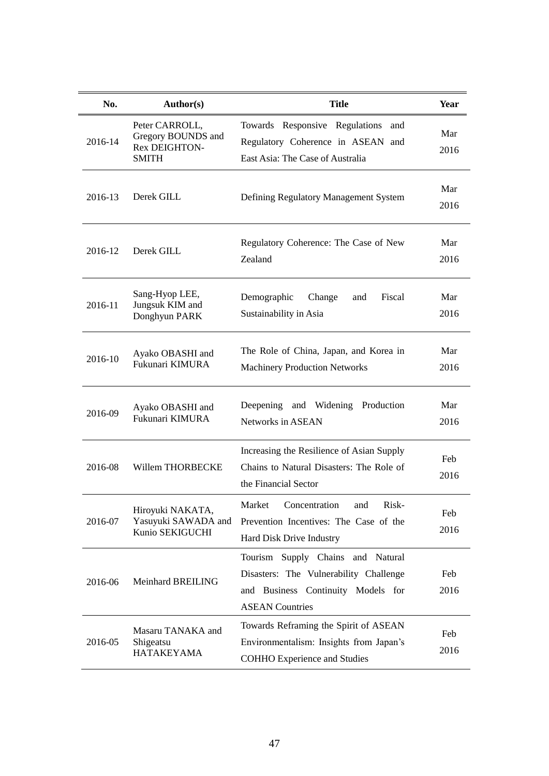| No.     | Author(s)                                                                    | <b>Title</b>                                                                                                                                | <b>Year</b> |
|---------|------------------------------------------------------------------------------|---------------------------------------------------------------------------------------------------------------------------------------------|-------------|
| 2016-14 | Peter CARROLL,<br>Gregory BOUNDS and<br><b>Rex DEIGHTON-</b><br><b>SMITH</b> | Towards Responsive Regulations<br>and<br>Regulatory Coherence in ASEAN and<br>East Asia: The Case of Australia                              | Mar<br>2016 |
| 2016-13 | Derek GILL                                                                   | Defining Regulatory Management System                                                                                                       | Mar<br>2016 |
| 2016-12 | Derek GILL                                                                   | Regulatory Coherence: The Case of New<br>Zealand                                                                                            | Mar<br>2016 |
| 2016-11 | Sang-Hyop LEE,<br>Jungsuk KIM and<br>Donghyun PARK                           | Demographic<br>Fiscal<br>Change<br>and<br>Sustainability in Asia                                                                            | Mar<br>2016 |
| 2016-10 | Ayako OBASHI and<br>Fukunari KIMURA                                          | The Role of China, Japan, and Korea in<br><b>Machinery Production Networks</b>                                                              | Mar<br>2016 |
| 2016-09 | Ayako OBASHI and<br>Fukunari KIMURA                                          | Deepening and Widening<br>Production<br>Networks in ASEAN                                                                                   | Mar<br>2016 |
| 2016-08 | Willem THORBECKE                                                             | Increasing the Resilience of Asian Supply<br>Chains to Natural Disasters: The Role of<br>the Financial Sector                               | Feb<br>2016 |
| 2016-07 | Hiroyuki NAKATA,<br>Yasuyuki SAWADA and<br>Kunio SEKIGUCHI                   | Market<br>Concentration<br>Risk-<br>and<br>Prevention Incentives: The Case of the<br>Hard Disk Drive Industry                               | Feb<br>2016 |
| 2016-06 | Meinhard BREILING                                                            | Tourism Supply Chains and Natural<br>Disasters: The Vulnerability Challenge<br>and Business Continuity Models for<br><b>ASEAN Countries</b> | Feb<br>2016 |
| 2016-05 | Masaru TANAKA and<br>Shigeatsu<br><b>HATAKEYAMA</b>                          | Towards Reframing the Spirit of ASEAN<br>Environmentalism: Insights from Japan's<br><b>COHHO Experience and Studies</b>                     | Feb<br>2016 |